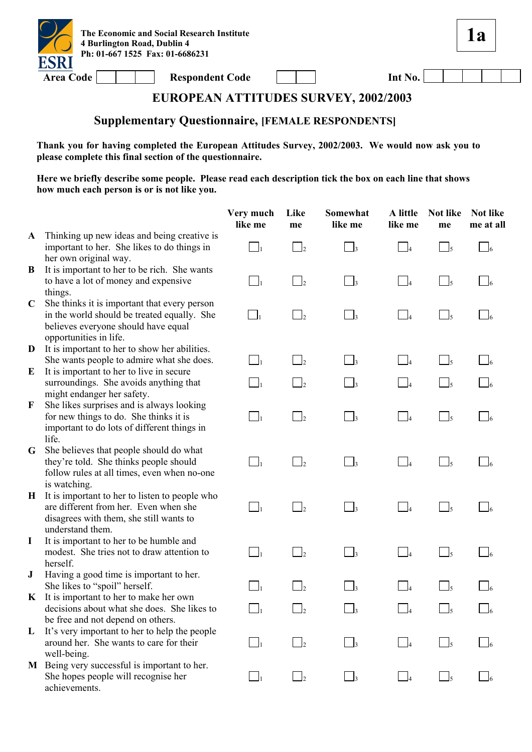

| Int No. |  |  |  |  |
|---------|--|--|--|--|
|---------|--|--|--|--|

**1a**

# **EUROPEAN ATTITUDES SURVEY, 2002/2003**

### **Supplementary Questionnaire, [FEMALE RESPONDENTS]**

**Thank you for having completed the European Attitudes Survey, 2002/2003. We would now ask you to please complete this final section of the questionnaire.** 

|              |                                                                                                                                                              | Very much<br>like me | Like<br>me                 | Somewhat<br>like me  | A little<br>like me                 | <b>Not like</b><br>me | <b>Not like</b><br>me at all |
|--------------|--------------------------------------------------------------------------------------------------------------------------------------------------------------|----------------------|----------------------------|----------------------|-------------------------------------|-----------------------|------------------------------|
| $\mathbf{A}$ | Thinking up new ideas and being creative is<br>important to her. She likes to do things in<br>her own original way.                                          | $\Box_1$             | $\Box_2$                   | $\Box$ 3             | $\perp$                             | $\Box$ <sub>5</sub>   | $\Box$ 6                     |
| B            | It is important to her to be rich. She wants<br>to have a lot of money and expensive<br>things.                                                              | $\Box_1$             | $\Box$ <sub>2</sub>        | $\Box_3$             | $\Box$                              | $\Box_5$              | $\bigcup_{6}$                |
| $\mathbf C$  | She thinks it is important that every person<br>in the world should be treated equally. She<br>believes everyone should have equal<br>opportunities in life. | $\Box$               | $\overline{\phantom{a}}^2$ | $\Box_3$             | $\Box$ 4                            | $\Box$ <sub>5</sub>   | $\bigcup_{6}$                |
| D            | It is important to her to show her abilities.<br>She wants people to admire what she does.                                                                   | $\Box_1$             | $\Box$ <sub>2</sub>        | $\Box_3$             | $\Box_4$                            | $\Box_5$              | $\bigcap_{6}$                |
| E            | It is important to her to live in secure<br>surroundings. She avoids anything that<br>might endanger her safety.                                             | $\Box_1$             | $\overline{\phantom{a}}$   | $\Box_3$             | $\Box$ 4                            | $\Box_5$              |                              |
| $\mathbf{F}$ | She likes surprises and is always looking<br>for new things to do. She thinks it is<br>important to do lots of different things in<br>life.                  | $\Box_1$             | $\Box_2$                   | $\Box$ <sub>3</sub>  | $\Box_4$                            | $\Box_5$              | $\Box$ 6                     |
| G            | She believes that people should do what<br>they're told. She thinks people should<br>follow rules at all times, even when no-one<br>is watching.             | $\Box$               | $\overline{\phantom{a}}$   | $\Box_3$             | $\Box$                              | $\Box_5$              | $\Box$ 6                     |
| $\bf{H}$     | It is important to her to listen to people who<br>are different from her. Even when she<br>disagrees with them, she still wants to<br>understand them.       | $\Box_1$             | $\overline{2}$             | $\Box_3$             | $\mathsf{I}_4$                      | $\Box$ <sub>5</sub>   | -16                          |
| $\bf{I}$     | It is important to her to be humble and<br>modest. She tries not to draw attention to<br>herself.                                                            | $\Box_1$             | $\overline{2}$             | $\vert$ <sub>3</sub> | $\mathsf{\underline{\mathsf{I}}}_4$ | $\Box$ <sub>5</sub>   |                              |
| ${\bf J}$    | Having a good time is important to her.<br>She likes to "spoil" herself.                                                                                     | $\vert$ 1            | $\overline{2}$             | $\Box$ 3             | 14                                  | $\Box$ <sub>5</sub>   |                              |
| $\mathbf{K}$ | It is important to her to make her own<br>decisions about what she does. She likes to<br>be free and not depend on others.                                   | $\Box_1$             | $\overline{\phantom{a}}^2$ | $\Box_3$             | $\Box$ 4                            | $\Box$ <sub>5</sub>   | $\Box$ 6                     |
| L            | It's very important to her to help the people<br>around her. She wants to care for their<br>well-being.                                                      | $\Box_1$             | $\overline{2}$             | $\Box$               | $\mathsf{I}_4$                      | $\Box_5$              |                              |
| M            | Being very successful is important to her.<br>She hopes people will recognise her<br>achievements.                                                           | $\Box$               | $\overline{\phantom{a}}$   | $\Box$ <sub>3</sub>  | $\int_4$                            | $\Box$ <sub>5</sub>   |                              |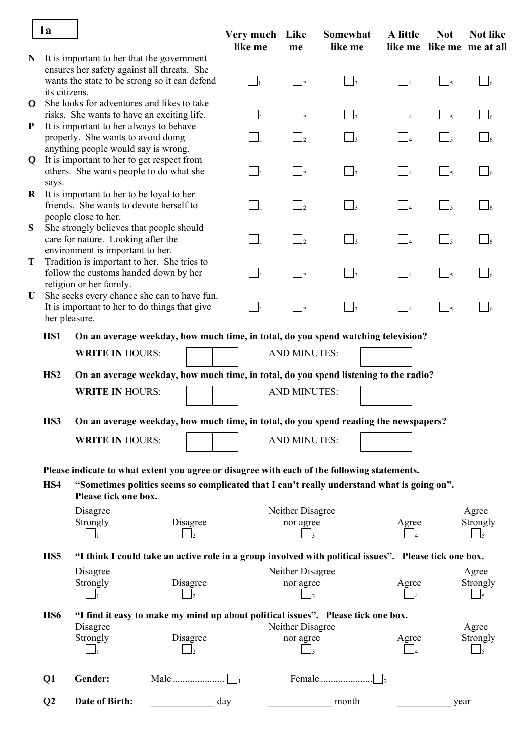|             | 1a              |                                                                                                                                            |     | Very much Like<br>like me | me                  | Somewhat<br>like me | A little                                  | <b>Not</b>               | <b>Not like</b><br>like me like me me at all |
|-------------|-----------------|--------------------------------------------------------------------------------------------------------------------------------------------|-----|---------------------------|---------------------|---------------------|-------------------------------------------|--------------------------|----------------------------------------------|
| N           |                 | It is important to her that the government<br>ensures her safety against all threats. She<br>wants the state to be strong so it can defend |     | $\Box$                    |                     | $\Box$ <sub>3</sub> | $\begin{array}{ c c } \hline \end{array}$ | $\overline{\bigcup_{5}}$ | $\Box_6$                                     |
| $\mathbf 0$ | its citizens.   | She looks for adventures and likes to take                                                                                                 |     |                           |                     |                     |                                           |                          |                                              |
|             |                 | risks. She wants to have an exciting life.                                                                                                 |     | $\Box_1$                  | $\Box$ <sub>2</sub> | $\Box_3$            | $\begin{array}{ccc} \end{array}$          | $\Box$ <sub>5</sub>      |                                              |
| ${\bf P}$   |                 | It is important to her always to behave                                                                                                    |     |                           |                     |                     |                                           |                          |                                              |
|             |                 | properly. She wants to avoid doing<br>anything people would say is wrong.                                                                  |     | $\Box_1$                  | $\Box$              | $\Box_3$            | $\Box_4$                                  | $\Box$ <sub>5</sub>      | $\Box$                                       |
| $\mathbf Q$ |                 | It is important to her to get respect from                                                                                                 |     |                           |                     |                     |                                           |                          |                                              |
|             |                 | others. She wants people to do what she                                                                                                    |     | $\Box_1$                  | $\Box$              | $\Box$ <sub>3</sub> | $\Box$                                    | $\frac{1}{5}$            | $\Box$ 6                                     |
| $\bf{R}$    | says.           | It is important to her to be loyal to her                                                                                                  |     |                           |                     |                     |                                           |                          |                                              |
|             |                 | friends. She wants to devote herself to                                                                                                    |     | $\Box_1$                  | $\vert$ 2           | $\Box$ <sub>3</sub> | $\begin{array}{ c c } \hline \end{array}$ | $\Box$                   | $\Box$ 6                                     |
|             |                 | people close to her.                                                                                                                       |     |                           |                     |                     |                                           |                          |                                              |
| S           |                 | She strongly believes that people should                                                                                                   |     |                           |                     |                     |                                           |                          |                                              |
|             |                 | care for nature. Looking after the<br>environment is important to her.                                                                     |     | $\Box_1$                  | $\Box_2$            | $\Box_3$            | $\begin{array}{ c c } \hline \end{array}$ | $\mathbb{I}_5$           | $\Box$                                       |
| T           |                 | Tradition is important to her. She tries to                                                                                                |     |                           |                     |                     |                                           |                          |                                              |
|             |                 | follow the customs handed down by her                                                                                                      |     | $\Box_1$                  | $\Box$ <sub>2</sub> | $\Box_3$            | $\begin{bmatrix} 1 \end{bmatrix}$         | $\Box$ <sub>5</sub>      | $\Box$ 6                                     |
| U           |                 | religion or her family.<br>She seeks every chance she can to have fun.                                                                     |     |                           |                     |                     |                                           |                          |                                              |
|             | her pleasure.   | It is important to her to do things that give                                                                                              |     | $\Box_1$                  | $\overline{2}$      | $\Box_3$            | $\Box$                                    | $\Box$ <sub>5</sub>      | $\Box$ 6                                     |
|             | HS1             | On an average weekday, how much time, in total, do you spend watching television?                                                          |     |                           |                     |                     |                                           |                          |                                              |
|             |                 | <b>WRITE IN HOURS:</b>                                                                                                                     |     |                           | <b>AND MINUTES:</b> |                     |                                           |                          |                                              |
|             | H <sub>S2</sub> | On an average weekday, how much time, in total, do you spend listening to the radio?                                                       |     |                           |                     |                     |                                           |                          |                                              |
|             |                 |                                                                                                                                            |     |                           |                     |                     |                                           |                          |                                              |
|             |                 | <b>WRITE IN HOURS:</b>                                                                                                                     |     |                           | <b>AND MINUTES:</b> |                     |                                           |                          |                                              |
|             | HS3             | On an average weekday, how much time, in total, do you spend reading the newspapers?                                                       |     |                           |                     |                     |                                           |                          |                                              |
|             |                 | <b>WRITE IN HOURS:</b>                                                                                                                     |     |                           | <b>AND MINUTES:</b> |                     |                                           |                          |                                              |
|             |                 | Please indicate to what extent you agree or disagree with each of the following statements.                                                |     |                           |                     |                     |                                           |                          |                                              |
|             | HS4             | "Sometimes politics seems so complicated that I can't really understand what is going on".<br>Please tick one box.                         |     |                           |                     |                     |                                           |                          |                                              |
|             |                 | Disagree                                                                                                                                   |     |                           | Neither Disagree    |                     |                                           |                          | Agree                                        |
|             |                 | Strongly<br>Disagree                                                                                                                       |     |                           | nor agree           |                     | Agree                                     |                          | Strongly                                     |
|             |                 |                                                                                                                                            |     |                           |                     |                     |                                           |                          | $\Box$                                       |
|             | HS <sub>5</sub> | "I think I could take an active role in a group involved with political issues". Please tick one box.                                      |     |                           |                     |                     |                                           |                          |                                              |
|             |                 | Disagree                                                                                                                                   |     |                           | Neither Disagree    |                     |                                           |                          | Agree                                        |
|             |                 | Strongly<br>Disagree                                                                                                                       |     |                           | nor agree           |                     | Agree                                     |                          | Strongly                                     |
|             |                 | $\overline{2}$                                                                                                                             |     |                           |                     |                     |                                           |                          | $\Box$ <sub>5</sub>                          |
|             | H <sub>S6</sub> | "I find it easy to make my mind up about political issues". Please tick one box.                                                           |     |                           |                     |                     |                                           |                          |                                              |
|             |                 | Disagree                                                                                                                                   |     |                           | Neither Disagree    |                     |                                           |                          | Agree                                        |
|             |                 | Disagree<br>Strongly                                                                                                                       |     |                           | nor agree           |                     | Agree                                     |                          | Strongly                                     |
|             |                 |                                                                                                                                            |     |                           |                     |                     |                                           |                          |                                              |
|             | Q1              | Gender:                                                                                                                                    |     |                           |                     | Female              |                                           |                          |                                              |
|             | Q2              | Date of Birth:                                                                                                                             | day |                           |                     | month               |                                           | year                     |                                              |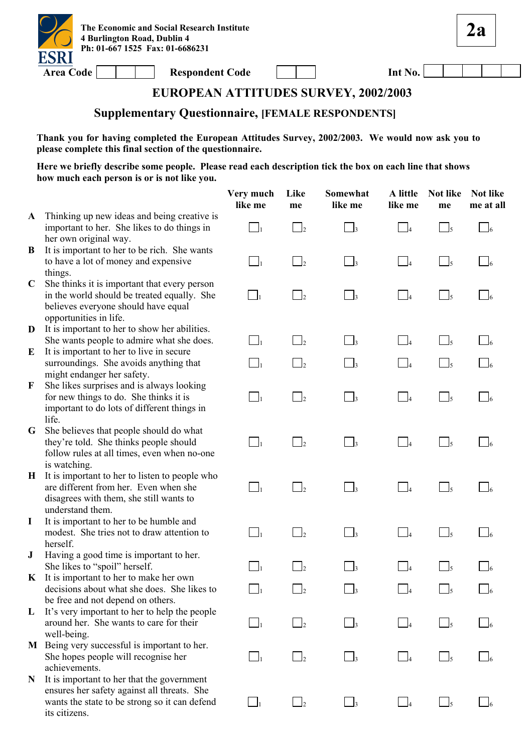

**2a**

# **EUROPEAN ATTITUDES SURVEY, 2002/2003**

#### **Supplementary Questionnaire, [FEMALE RESPONDENTS]**

**Thank you for having completed the European Attitudes Survey, 2002/2003. We would now ask you to please complete this final section of the questionnaire.** 

|              |                                                                                                                                                                        | Very much<br>like me | Like<br>me                 | Somewhat<br>like me  | A little<br>like me | Not like<br>me      | <b>Not like</b><br>me at all |
|--------------|------------------------------------------------------------------------------------------------------------------------------------------------------------------------|----------------------|----------------------------|----------------------|---------------------|---------------------|------------------------------|
| $\mathbf{A}$ | Thinking up new ideas and being creative is<br>important to her. She likes to do things in<br>her own original way.                                                    | $\Box_1$             | $\Box$ <sub>2</sub>        | $\Box$ 3             | $\Box_4$            | $\Box_5$            | $\Box$ 6                     |
| B            | It is important to her to be rich. She wants<br>to have a lot of money and expensive<br>things.                                                                        | $\Box_1$             | $\overline{\phantom{a}}^2$ | $\Box_3$             | $\Box$ 4            | $\bigcup_{5}$       | $\Box$ 6                     |
| $\mathbf C$  | She thinks it is important that every person<br>in the world should be treated equally. She<br>believes everyone should have equal<br>opportunities in life.           | $\Box$ <sub>1</sub>  | $\Box$ 2                   | $\frac{1}{3}$        | $\Box$ 4            | $\Box$ 5            | $\frac{1}{6}$                |
| D            | It is important to her to show her abilities.<br>She wants people to admire what she does.                                                                             | $\Box_1$             | $\overline{2}$             | $\vert$ <sub>3</sub> | $\Box$ 4            | $\vert$ $\vert_5$   | $\Box$ 6                     |
| E            | It is important to her to live in secure<br>surroundings. She avoids anything that<br>might endanger her safety.                                                       | $\Box_1$             | $\overline{\phantom{a}}^2$ | $\Box_3$             | $\Box$ 4            | $\bigcup_{5}$       | $\Box$ 6                     |
| F            | She likes surprises and is always looking<br>for new things to do. She thinks it is<br>important to do lots of different things in<br>life.                            | $\Box_1$             | $\Box$ 2                   | $\Box$ 3             | $\Box$ 4            | $\Box$ <sub>5</sub> | $\Box$ 6                     |
| G            | She believes that people should do what<br>they're told. She thinks people should<br>follow rules at all times, even when no-one                                       | $\Box_1$             | $\overline{\phantom{a}}^2$ | $\Box_3$             | $\Box$              | $\Box_5$            | $\Box$ 6                     |
| H            | is watching.<br>It is important to her to listen to people who<br>are different from her. Even when she<br>disagrees with them, she still wants to<br>understand them. | $\Box_1$             | $\overline{\phantom{a}}$   | $\Box$ 3             | $\Box$ 4            | $\Box$ <sub>5</sub> | $\mathsf{J}_6$               |
| I            | It is important to her to be humble and<br>modest. She tries not to draw attention to<br>herself.                                                                      | $\Box_1$             | $\overline{\phantom{a}}$   | $\Box$ 3             | $\Box$              | $\Box$              | $\overline{6}$               |
| ${\bf J}$    | Having a good time is important to her.<br>She likes to "spoil" herself.<br>$\bf{K}$ It is important to her to make her own                                            | $\Box_1$             | $\overline{2}$             | $\vert$ <sub>3</sub> | $\Box$              | $\Box$ <sub>5</sub> | $\overline{6}$               |
|              | decisions about what she does. She likes to<br>be free and not depend on others.                                                                                       | $\Box_1$             | $\Box$ 2                   | 3 —                  | $\Box$ 4            | $\Box$              | $\Box$ 6                     |
| L            | It's very important to her to help the people<br>around her. She wants to care for their<br>well-being.                                                                | $\Box_1$             | $\overline{2}$             | $\mathbf{I}_3$       | $\Box_4$            | $\frac{1}{5}$       |                              |
| M            | Being very successful is important to her.<br>She hopes people will recognise her<br>achievements.                                                                     | $\Box_1$             | $\overline{\phantom{0}}$ 2 | $\mathbf{1}$         | $\overline{a}$      | $\Box$ <sub>5</sub> |                              |
| N            | It is important to her that the government<br>ensures her safety against all threats. She<br>wants the state to be strong so it can defend<br>its citizens.            | $\mathbf{I}_1$       | $\overline{\phantom{0}}$   | $\mathsf{I}_3$       | $\frac{1}{4}$       | $\Box$ 5            |                              |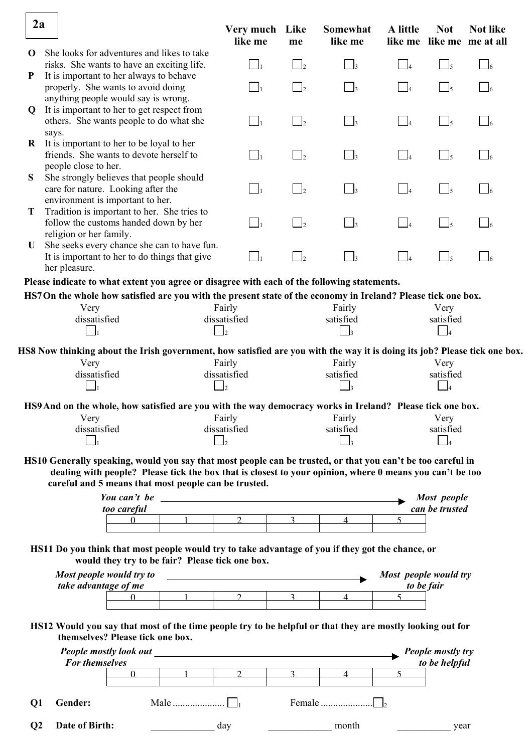| 2a             |                                                                                                                      |                                  |                                                               | Very much Like<br>like me                                                                                             | me                         | Somewhat<br>like me                                                                                                                                                                                                                       | A little              | <b>Not</b>                    | <b>Not like</b><br>like me like me me at all |
|----------------|----------------------------------------------------------------------------------------------------------------------|----------------------------------|---------------------------------------------------------------|-----------------------------------------------------------------------------------------------------------------------|----------------------------|-------------------------------------------------------------------------------------------------------------------------------------------------------------------------------------------------------------------------------------------|-----------------------|-------------------------------|----------------------------------------------|
| $\mathbf 0$    | She looks for adventures and likes to take<br>risks. She wants to have an exciting life.                             |                                  |                                                               |                                                                                                                       | $\overline{\phantom{0}}$ 2 |                                                                                                                                                                                                                                           |                       | $\frac{1}{5}$                 | $\sqrt{6}$                                   |
| P              | It is important to her always to behave<br>properly. She wants to avoid doing<br>anything people would say is wrong. |                                  |                                                               | $\Box_1$                                                                                                              | $\Box$ <sub>2</sub>        | $\Box$ 3                                                                                                                                                                                                                                  | $\Box$                | $\Box_5$                      | 16                                           |
| Q              | It is important to her to get respect from<br>others. She wants people to do what she<br>says.                       |                                  |                                                               | $\Box_1$                                                                                                              | $\overline{\phantom{a}}$   | $\vert$ <sub>3</sub>                                                                                                                                                                                                                      | $\Box_4$              | $\Box_5$                      | $\sqrt{6}$                                   |
| $\bf{R}$       | It is important to her to be loyal to her<br>friends. She wants to devote herself to<br>people close to her.         |                                  |                                                               | $\Box_1$                                                                                                              | $\overline{2}$             | $\vert$ <sub>3</sub>                                                                                                                                                                                                                      | $\Box$                | $\Box_5$                      | $\Box$ 6                                     |
| S              | She strongly believes that people should<br>care for nature. Looking after the<br>environment is important to her.   |                                  |                                                               | $\Box_1$                                                                                                              | $\Box$ <sub>2</sub>        | $\Box$ 3                                                                                                                                                                                                                                  | $\Box_4$              | $\Box$ <sub>5</sub>           | $\sqrt{6}$                                   |
| T              | Tradition is important to her. She tries to<br>follow the customs handed down by her<br>religion or her family.      |                                  |                                                               | $\bigsqcup_1$                                                                                                         | $\overline{\phantom{a}}$ 2 | $\vert$ $\vert$                                                                                                                                                                                                                           | $\Box$                | $\overline{\bigcup_{5}}$      | $\sqrt{6}$                                   |
| U              | She seeks every chance she can to have fun.<br>It is important to her to do things that give<br>her pleasure.        |                                  |                                                               | $\Box_1$                                                                                                              | $\Box$ 2                   | $\vert$ <sub>3</sub>                                                                                                                                                                                                                      | $\Box$ 4              | $\Box_5$                      | $\Box$ 6                                     |
|                |                                                                                                                      |                                  |                                                               |                                                                                                                       |                            | Please indicate to what extent you agree or disagree with each of the following statements.                                                                                                                                               |                       |                               |                                              |
|                |                                                                                                                      |                                  |                                                               |                                                                                                                       |                            | HS7On the whole how satisfied are you with the present state of the economy in Ireland? Please tick one box.                                                                                                                              |                       |                               |                                              |
|                | Very                                                                                                                 |                                  |                                                               | Fairly                                                                                                                |                            | Fairly                                                                                                                                                                                                                                    |                       | Very                          |                                              |
|                | dissatisfied                                                                                                         |                                  |                                                               | dissatisfied                                                                                                          |                            | satisfied                                                                                                                                                                                                                                 |                       | satisfied                     |                                              |
|                | $\mathbf{I}_1$                                                                                                       |                                  |                                                               | $\Box$ 2                                                                                                              |                            | $\Box$ 3                                                                                                                                                                                                                                  |                       | $\frac{1}{4}$                 |                                              |
|                |                                                                                                                      |                                  |                                                               |                                                                                                                       |                            |                                                                                                                                                                                                                                           |                       |                               |                                              |
|                |                                                                                                                      |                                  |                                                               | Fairly                                                                                                                |                            | HS8 Now thinking about the Irish government, how satisfied are you with the way it is doing its job? Please tick one box.<br>Fairly                                                                                                       |                       |                               |                                              |
|                | Very<br>dissatisfied                                                                                                 |                                  |                                                               | dissatisfied                                                                                                          |                            | satisfied                                                                                                                                                                                                                                 |                       | Very<br>satisfied             |                                              |
|                |                                                                                                                      |                                  |                                                               | l2                                                                                                                    |                            | 13                                                                                                                                                                                                                                        |                       | $\overline{\phantom{0}}$ 4    |                                              |
|                |                                                                                                                      |                                  |                                                               |                                                                                                                       |                            |                                                                                                                                                                                                                                           |                       |                               |                                              |
|                |                                                                                                                      |                                  |                                                               |                                                                                                                       |                            | HS9 And on the whole, how satisfied are you with the way democracy works in Ireland? Please tick one box.                                                                                                                                 |                       |                               |                                              |
|                | Very                                                                                                                 |                                  |                                                               | Fairly                                                                                                                |                            | Fairly                                                                                                                                                                                                                                    |                       | Very                          |                                              |
|                | dissatisfied                                                                                                         |                                  |                                                               | dissatisfied                                                                                                          |                            | satisfied                                                                                                                                                                                                                                 |                       | satisfied                     |                                              |
|                |                                                                                                                      |                                  |                                                               | $\mathbf{I}_2$                                                                                                        |                            | $\overline{\mathbf{3}}$                                                                                                                                                                                                                   |                       | $\vert$ 4                     |                                              |
|                |                                                                                                                      | too careful<br>$\Omega$          | careful and 5 means that most people can be trusted.<br>$1 -$ | $2^{\circ}$                                                                                                           | $\mathcal{R}$              | HS10 Generally speaking, would you say that most people can be trusted, or that you can't be too careful in<br>dealing with people? Please tick the box that is closest to your opinion, where 0 means you can't be too<br>$\overline{4}$ | 5                     | Most people<br>can be trusted |                                              |
|                |                                                                                                                      |                                  |                                                               |                                                                                                                       |                            |                                                                                                                                                                                                                                           |                       |                               |                                              |
|                |                                                                                                                      |                                  | would they try to be fair? Please tick one box.               |                                                                                                                       |                            | HS11 Do you think that most people would try to take advantage of you if they got the chance, or                                                                                                                                          |                       |                               |                                              |
|                |                                                                                                                      | Most people would try to         |                                                               | <u> 1980 - Johann Barbara, martin amerikan basal dan berasal dalam basal dalam basal dalam basal dalam basal dala</u> |                            |                                                                                                                                                                                                                                           | Most people would try |                               |                                              |
|                | take advantage of me                                                                                                 |                                  |                                                               |                                                                                                                       |                            |                                                                                                                                                                                                                                           | to be fair            |                               |                                              |
|                |                                                                                                                      | $\Omega$                         | $\mathbf{1}$                                                  | $\mathcal{D}_{\mathcal{L}}$                                                                                           | $\mathcal{Z}$              | $\overline{4}$                                                                                                                                                                                                                            | $\varsigma$           |                               |                                              |
|                |                                                                                                                      | themselves? Please tick one box. |                                                               |                                                                                                                       |                            | HS12 Would you say that most of the time people try to be helpful or that they are mostly looking out for                                                                                                                                 |                       |                               |                                              |
|                |                                                                                                                      |                                  |                                                               |                                                                                                                       |                            |                                                                                                                                                                                                                                           |                       | <b>People mostly try</b>      |                                              |
|                | For themselves                                                                                                       |                                  |                                                               |                                                                                                                       |                            |                                                                                                                                                                                                                                           |                       | to be helpful                 |                                              |
|                |                                                                                                                      | $\mathbf{0}$                     |                                                               | $\mathcal{L}$                                                                                                         | $\mathcal{E}$              | $\overline{4}$                                                                                                                                                                                                                            | $\mathcal{F}$         |                               |                                              |
| Q <sub>1</sub> | Gender:                                                                                                              |                                  |                                                               |                                                                                                                       |                            |                                                                                                                                                                                                                                           |                       |                               |                                              |
| Q <sub>2</sub> | Date of Birth:                                                                                                       |                                  |                                                               | day                                                                                                                   |                            | month                                                                                                                                                                                                                                     |                       | year                          |                                              |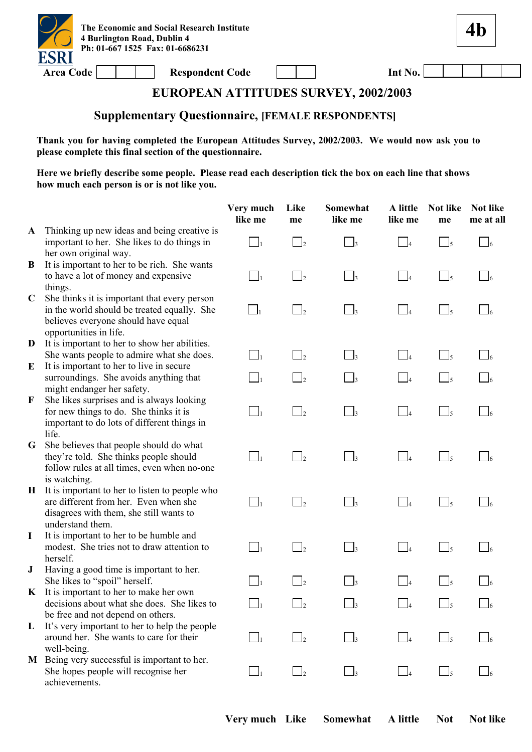

**4b**

# **EUROPEAN ATTITUDES SURVEY, 2002/2003**

## **Supplementary Questionnaire, [FEMALE RESPONDENTS]**

**Thank you for having completed the European Attitudes Survey, 2002/2003. We would now ask you to please complete this final section of the questionnaire.** 

|              |                                                                                                                                                              | Very much<br>like me       | Like<br>me                 | Somewhat<br>like me | A little<br>like me  | <b>Not like</b><br>me               | Not like<br>me at all |
|--------------|--------------------------------------------------------------------------------------------------------------------------------------------------------------|----------------------------|----------------------------|---------------------|----------------------|-------------------------------------|-----------------------|
| $\mathbf{A}$ | Thinking up new ideas and being creative is<br>important to her. She likes to do things in<br>her own original way.                                          | $\Box_1$                   | $\overline{\phantom{0}}$ 2 | $\vert$ 3           | $\vert$ 4            | $\Box$ <sub>5</sub>                 | $\Box$ 6              |
| B            | It is important to her to be rich. She wants<br>to have a lot of money and expensive<br>things.                                                              | $\Box_1$                   | $\overline{2}$             | $\Box$ <sub>3</sub> | $\Box$               | $\Box$ 5                            | $\sqrt{6}$            |
| $\mathbf C$  | She thinks it is important that every person<br>in the world should be treated equally. She<br>believes everyone should have equal<br>opportunities in life. | $\overline{\phantom{a}}$ 1 | $\overline{2}$             | $\Box$ 3            | $\Box_4$             | $\Box$ 5                            | $\frac{1}{6}$         |
| D            | It is important to her to show her abilities.                                                                                                                |                            |                            |                     |                      |                                     |                       |
| E            | She wants people to admire what she does.<br>It is important to her to live in secure                                                                        | $\Box_1$                   | $\overline{\phantom{a}}$   | $\Box_3$            | $\Box_4$             | $\Box$ <sub>5</sub>                 | $\Box$ 6              |
|              | surroundings. She avoids anything that<br>might endanger her safety.                                                                                         | $\Box_1$                   | $\overline{\phantom{0}}^2$ | $\vert$ 3           | $\Box$ 4             | $\Box$ 5                            |                       |
| F            | She likes surprises and is always looking<br>for new things to do. She thinks it is<br>important to do lots of different things in<br>life.                  | $\Box_1$                   | $\overline{2}$             | $\Box$ <sub>3</sub> | $\Box$ 4             | $\Box$                              | $\Box$ 6              |
| G            | She believes that people should do what<br>they're told. She thinks people should<br>follow rules at all times, even when no-one<br>is watching.             | $\Box_1$                   | $\Box$ <sub>2</sub>        | $\Box_3$            | $\Box_4$             | $\overline{\phantom{0}}$ 5          | $\Box$ 6              |
| $\bf{H}$     | It is important to her to listen to people who<br>are different from her. Even when she<br>disagrees with them, she still wants to<br>understand them.       | $\Box_1$                   | $\vert$ 2                  | $\vert$ 3           | $\vert$ 4            | $\mathsf{\underline{J}}$ 5          |                       |
| $\bf{I}$     | It is important to her to be humble and<br>modest. She tries not to draw attention to<br>herself.                                                            | $\Box_1$                   | $\overline{2}$             | $\Box$              | $\overline{4}$       | $\Box$ 5                            |                       |
| ${\bf J}$    | Having a good time is important to her.<br>She likes to "spoil" herself.                                                                                     | $\Box$                     | $\Box$ 2                   | $\frac{1}{3}$       | $\Box$               | $\mathsf{\underline{\mathsf{J}}}_5$ |                       |
| $\mathbf{K}$ | It is important to her to make her own<br>decisions about what she does. She likes to<br>be free and not depend on others.                                   | $\Box_1$                   | $\Box$ 2                   | $\Box_3$            | $\Box$ 4             | $\Box$ <sub>5</sub>                 | $\Box$ 6              |
| L            | It's very important to her to help the people<br>around her. She wants to care for their<br>well-being.                                                      | $\Box_1$                   | $\overline{\phantom{a}}$   | $\Box$ 3            | $\Box$ 4             | $\Box$ 5                            |                       |
| M            | Being very successful is important to her.<br>She hopes people will recognise her<br>achievements.                                                           | $\Box_1$                   | $\Box$                     | $\Box$ 3            | $\vert$ <sup>4</sup> | $\Box$                              |                       |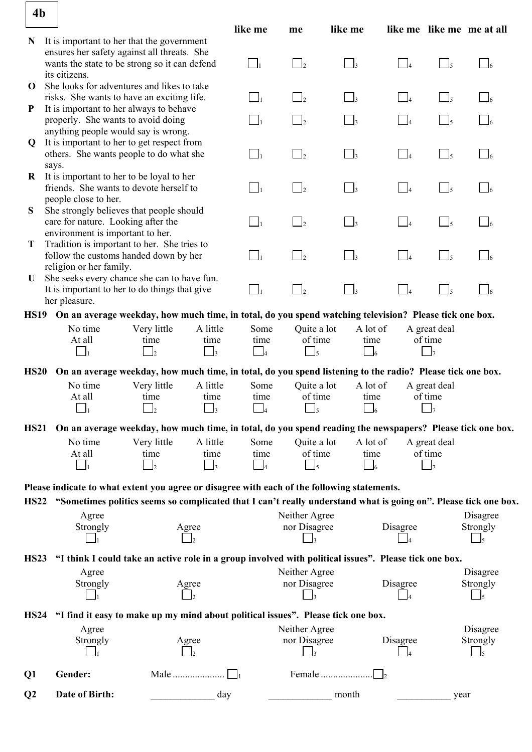| 4 <sub>b</sub> |                                    |                                                                                                                 |          |                            |                         |                     |                   |                         |                           |
|----------------|------------------------------------|-----------------------------------------------------------------------------------------------------------------|----------|----------------------------|-------------------------|---------------------|-------------------|-------------------------|---------------------------|
|                |                                    |                                                                                                                 |          | like me                    | me                      | like me             |                   |                         | like me like me me at all |
| N              |                                    | It is important to her that the government                                                                      |          |                            |                         |                     |                   |                         |                           |
|                |                                    | ensures her safety against all threats. She<br>wants the state to be strong so it can defend                    |          | $\Box_1$                   | $\Box_2$                |                     |                   |                         |                           |
|                | its citizens.                      |                                                                                                                 |          |                            |                         | $\Box_3$            | $\blacksquare$    | $\frac{1}{5}$           | $\Box$                    |
| $\mathbf 0$    |                                    | She looks for adventures and likes to take                                                                      |          |                            |                         |                     |                   |                         |                           |
|                |                                    | risks. She wants to have an exciting life.                                                                      |          | $\Box_1$                   | $\vert$ $\vert$ 2       | $\Box$ 3            | $\vert$ $\vert_4$ | $\bigcup_{5}$           | $\mathcal{a}_{6}$         |
| $\mathbf P$    |                                    | It is important to her always to behave                                                                         |          |                            |                         |                     |                   |                         |                           |
|                |                                    | properly. She wants to avoid doing                                                                              |          | $\Box_1$                   | $\overline{2}$          | $\vert$ 3           | $\Box$ 4          | $\sqrt{3}$              |                           |
|                |                                    | anything people would say is wrong.                                                                             |          |                            |                         |                     |                   |                         |                           |
| Q              |                                    | It is important to her to get respect from<br>others. She wants people to do what she                           |          | $\Box_1$                   | $\frac{1}{2}$           | $\Box$ <sub>3</sub> | $\Box$ 4          | $\Box$ <sub>5</sub>     | $\Box$ 6                  |
|                | says.                              |                                                                                                                 |          |                            |                         |                     |                   |                         |                           |
| $\bf{R}$       |                                    | It is important to her to be loyal to her                                                                       |          |                            |                         |                     |                   |                         |                           |
|                |                                    | friends. She wants to devote herself to                                                                         |          | $\Box_1$                   | $\Box$ <sub>2</sub>     | $\Box$ <sub>3</sub> | $\Box_4$          | $\Box_5$                | $\Box$ 6                  |
|                | people close to her.               |                                                                                                                 |          |                            |                         |                     |                   |                         |                           |
| S              |                                    | She strongly believes that people should                                                                        |          |                            |                         |                     |                   |                         |                           |
|                | care for nature. Looking after the |                                                                                                                 |          | $\Box_1$                   | $\Box$ <sub>2</sub>     | $\Box$ <sub>3</sub> | $\Box_4$          | $\Box_5$                | $\Box$ 6                  |
| T              | environment is important to her.   | Tradition is important to her. She tries to                                                                     |          |                            |                         |                     |                   |                         |                           |
|                |                                    | follow the customs handed down by her                                                                           |          | $\Box_1$                   | $\Box_2$                | $\Box_3$            | $\Box$            | $\Box$ <sub>5</sub>     | $\Box$ 6                  |
|                | religion or her family.            |                                                                                                                 |          |                            |                         |                     |                   |                         |                           |
| U              |                                    | She seeks every chance she can to have fun.                                                                     |          |                            |                         |                     |                   |                         |                           |
|                |                                    | It is important to her to do things that give                                                                   |          | $\Box_1$                   | $\Box$                  | $\Box$ <sub>3</sub> | $\vert$ $\vert$   | $\Box$ <sub>5</sub>     | $\Box$ 6                  |
|                | her pleasure.                      |                                                                                                                 |          |                            |                         |                     |                   |                         |                           |
|                |                                    | HS19 On an average weekday, how much time, in total, do you spend watching television? Please tick one box.     |          |                            |                         |                     |                   |                         |                           |
|                | No time                            | Very little                                                                                                     | A little | Some                       | Quite a lot             | A lot of            |                   | A great deal            |                           |
|                | At all                             | time                                                                                                            | time     | time                       | of time                 | time                |                   | of time                 |                           |
|                | $\mathbf{I}_1$                     | $\Box$                                                                                                          | $\Box$   | $\overline{\phantom{0}}$ 4 |                         | $\Box$ 6            |                   | $\mathsf{I}_7$          |                           |
| <b>HS20</b>    |                                    | On an average weekday, how much time, in total, do you spend listening to the radio? Please tick one box.       |          |                            |                         |                     |                   |                         |                           |
|                | No time                            | Very little                                                                                                     | A little | Some                       | Quite a lot             | A lot of            |                   | A great deal            |                           |
|                | At all                             | time                                                                                                            | time     | time                       | of time                 | time                |                   | of time                 |                           |
|                |                                    |                                                                                                                 |          |                            |                         |                     |                   |                         |                           |
| <b>HS21</b>    |                                    | On an average weekday, how much time, in total, do you spend reading the newspapers? Please tick one box.       |          |                            |                         |                     |                   |                         |                           |
|                | No time                            |                                                                                                                 | A little |                            |                         |                     |                   |                         |                           |
|                | At all                             | Very little<br>time                                                                                             | time     | Some<br>time               | Quite a lot<br>of time  | A lot of<br>time    |                   | A great deal<br>of time |                           |
|                | $\Box$                             | $\mathbf{I}_2$                                                                                                  | $\Box$ 3 | $\overline{\phantom{a}}$   | $\Box$ <sub>5</sub>     | $\Box$ 6            |                   | $\Box$                  |                           |
|                |                                    |                                                                                                                 |          |                            |                         |                     |                   |                         |                           |
|                |                                    | Please indicate to what extent you agree or disagree with each of the following statements.                     |          |                            |                         |                     |                   |                         |                           |
| <b>HS22</b>    |                                    | "Sometimes politics seems so complicated that I can't really understand what is going on". Please tick one box. |          |                            |                         |                     |                   |                         |                           |
|                | Agree                              |                                                                                                                 |          |                            | Neither Agree           |                     |                   |                         | Disagree                  |
|                | Strongly                           |                                                                                                                 | Agree    |                            | nor Disagree            |                     | Disagree          |                         | Strongly                  |
|                |                                    |                                                                                                                 |          |                            |                         |                     |                   |                         | l5                        |
| <b>HS23</b>    |                                    | "I think I could take an active role in a group involved with political issues". Please tick one box.           |          |                            |                         |                     |                   |                         |                           |
|                | Agree                              |                                                                                                                 |          |                            | Neither Agree           |                     |                   |                         | Disagree                  |
|                | Strongly                           |                                                                                                                 | Agree    |                            | nor Disagree            |                     | Disagree          |                         | Strongly                  |
|                |                                    |                                                                                                                 |          |                            |                         |                     | l4                |                         | l5                        |
|                |                                    |                                                                                                                 |          |                            |                         |                     |                   |                         |                           |
| <b>HS24</b>    |                                    | "I find it easy to make up my mind about political issues". Please tick one box.                                |          |                            |                         |                     |                   |                         |                           |
|                | Agree                              |                                                                                                                 |          |                            | Neither Agree           |                     |                   |                         | Disagree                  |
|                | Strongly                           |                                                                                                                 | Agree    |                            | nor Disagree            |                     | Disagree          |                         | Strongly                  |
|                |                                    |                                                                                                                 |          |                            | $\overline{\mathbf{3}}$ |                     |                   |                         | $\Box$ 5                  |
| Q1             | Gender:                            |                                                                                                                 | Male     |                            |                         | Female              |                   |                         |                           |
|                |                                    |                                                                                                                 |          |                            |                         |                     |                   |                         |                           |
| Q <sub>2</sub> | Date of Birth:                     |                                                                                                                 | day      |                            |                         | month               |                   | year                    |                           |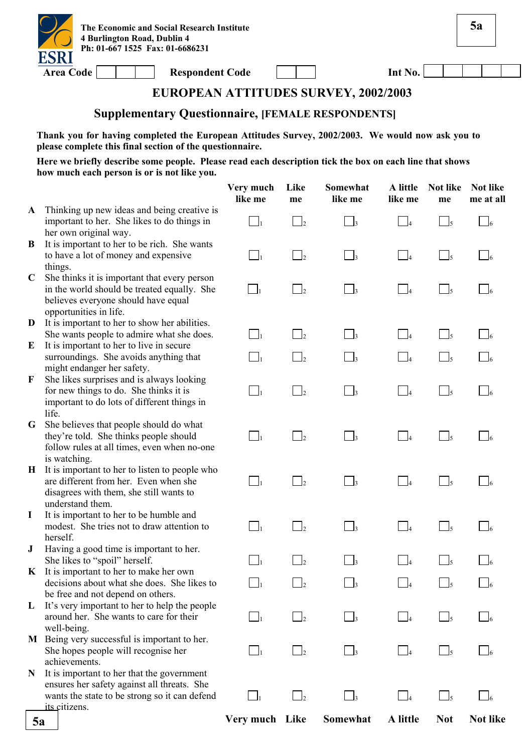

Area Code **Respondent Code** 

| Int No. |  |  |  |
|---------|--|--|--|
|         |  |  |  |

**5a**

# **EUROPEAN ATTITUDES SURVEY, 2002/2003**

#### **Supplementary Questionnaire, [FEMALE RESPONDENTS]**

**Thank you for having completed the European Attitudes Survey, 2002/2003. We would now ask you to please complete this final section of the questionnaire.** 

|              |                                                                                                                                                              | Very much<br>like me | Like<br>me                 | Somewhat<br>like me | A little<br>like me | Not like<br>me                       | <b>Not like</b><br>me at all |
|--------------|--------------------------------------------------------------------------------------------------------------------------------------------------------------|----------------------|----------------------------|---------------------|---------------------|--------------------------------------|------------------------------|
| $\mathbf{A}$ | Thinking up new ideas and being creative is<br>important to her. She likes to do things in<br>her own original way.                                          | $\bigsqcup_1$        | $\Box_2$                   | $\bigcap_{3}$       | $\Box$ 4            | $\Box_5$                             | $\Box_6$                     |
| B            | It is important to her to be rich. She wants<br>to have a lot of money and expensive<br>things.                                                              | $\Box_1$             | $\Box_2$                   | $\Box_3$            | $\Box_4$            | $\Box_5$                             | $\Box$ 6                     |
| $\mathbf C$  | She thinks it is important that every person<br>in the world should be treated equally. She<br>believes everyone should have equal<br>opportunities in life. | $\Box_1$             | $\overline{\phantom{a}}^2$ | $\Box$ 3            | $\Box_4$            | $\Box$ <sub>5</sub>                  | $\sqrt{6}$                   |
| D            | It is important to her to show her abilities.<br>She wants people to admire what she does.                                                                   | $\Box_1$             | $\Box$                     | $\Box_3$            | $\Box_4$            | $\Box_5$                             |                              |
| E            | It is important to her to live in secure<br>surroundings. She avoids anything that<br>might endanger her safety.                                             | $\Box_1$             | $\Box$ 2                   | $\Box_3$            | $\Box_4$            | $\Box$ <sub>5</sub>                  |                              |
| F            | She likes surprises and is always looking<br>for new things to do. She thinks it is<br>important to do lots of different things in<br>life.                  | $\Box_1$             | $\Box_2$                   | $\Box_3$            | $\Box_4$            | $\Box_5$                             | - 16                         |
| G            | She believes that people should do what<br>they're told. She thinks people should<br>follow rules at all times, even when no-one<br>is watching.             | $\Box_1$             | $\Box_2$                   | $\Box$ 3            | $\Box$ 4            | $\Box_5$                             | - 16                         |
| $\bf H$      | It is important to her to listen to people who<br>are different from her. Even when she<br>disagrees with them, she still wants to<br>understand them.       | $\Box_1$             | $\Box$ <sub>2</sub>        | $\Box_3$            | $\Box_4$            | $\Box$ <sub>5</sub>                  | $\Box$ 6                     |
| $\bf{I}$     | It is important to her to be humble and<br>modest. She tries not to draw attention to<br>herself.                                                            | $\Box_1$             | $\Box$                     | $\Box_3$            | $\Box_4$            | $\Box$ <sub>5</sub>                  |                              |
| $\bf J$      | Having a good time is important to her.<br>She likes to "spoil" herself.                                                                                     | $\Box_1$             | $\overline{\phantom{a}}$   | $\Box$ 3            | $\Box$ 4            | $\Box$ <sub>5</sub>                  |                              |
| $\bf{K}$     | It is important to her to make her own<br>decisions about what she does. She likes to<br>be free and not depend on others.                                   | الصا                 | $\Box$ 2                   | 3 ســا              | $\Box$ 4            | دىسا                                 | 6 كـــا                      |
| L            | It's very important to her to help the people<br>around her. She wants to care for their<br>well-being.                                                      | $\Box_1$             | $\Box_2$                   | $\Box$ 3            | $\Box$              | $\Box$ <sub>5</sub>                  |                              |
|              | M Being very successful is important to her.<br>She hopes people will recognise her<br>achievements.                                                         | $\Box_1$             | $\Box$ <sub>2</sub>        | $\Box$ 3            | $\Box_4$            | $\Box$ <sub>5</sub>                  |                              |
| N            | It is important to her that the government<br>ensures her safety against all threats. She<br>wants the state to be strong so it can defend<br>its citizens.  | $\Box_1$             | $\overline{\phantom{a}}$   | $\vert$ 3           | $\Box$ 4            | $\mathsf{\underline{\hspace{1pt}I}}$ |                              |
| 5a           |                                                                                                                                                              | Very much Like       |                            | Somewhat            | A little            | <b>Not</b>                           | <b>Not like</b>              |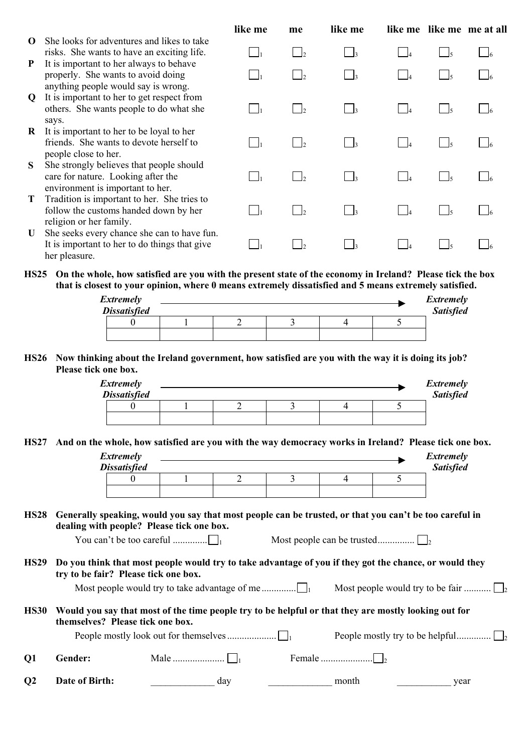|          |                                                                                                                      | like me  | me                         | like me               |                   |               | like me like me me at all |
|----------|----------------------------------------------------------------------------------------------------------------------|----------|----------------------------|-----------------------|-------------------|---------------|---------------------------|
| $\Omega$ | She looks for adventures and likes to take<br>risks. She wants to have an exciting life.                             | $\Box_1$ | $\vert$ $\vert$            | $\vert \cdot \vert_3$ | $\overline{a}$    | $\frac{1}{5}$ | 16                        |
| P        | It is important to her always to behave<br>properly. She wants to avoid doing<br>anything people would say is wrong. |          |                            | $\Box$ 3              |                   |               |                           |
| Q        | It is important to her to get respect from<br>others. She wants people to do what she<br>says.                       |          | $\overline{\phantom{a}}$   | $\Box$ <sub>3</sub>   |                   | $\frac{1}{5}$ |                           |
| R        | It is important to her to be loyal to her<br>friends. She wants to devote herself to<br>people close to her.         |          | $\overline{\phantom{a}}$   | $\Box$ <sub>3</sub>   | $ $ $ $           | $\frac{1}{5}$ |                           |
| S.       | She strongly believes that people should<br>care for nature. Looking after the<br>environment is important to her.   |          | $\overline{\phantom{0}}^2$ | $\Box_3$              |                   | $\frac{1}{2}$ |                           |
| T        | Tradition is important to her. She tries to<br>follow the customs handed down by her<br>religion or her family.      |          | $\Box$                     | $\Box$ <sub>3</sub>   |                   | $\sqrt{5}$    |                           |
| U        | She seeks every chance she can to have fun.<br>It is important to her to do things that give<br>her pleasure.        |          | $\overline{\phantom{a}}$   | $\Box$ <sub>3</sub>   | $\vert$ $\vert_4$ | $\frac{1}{5}$ |                           |

**HS25 On the whole, how satisfied are you with the present state of the economy in Ireland? Please tick the box that is closest to your opinion, where 0 means extremely dissatisfied and 5 means extremely satisfied.** 

| <b>Extremely</b><br><b>Dissatisfied</b> |  |  | <b>Extremely</b><br>Satisfied |
|-----------------------------------------|--|--|-------------------------------|
|                                         |  |  |                               |
|                                         |  |  |                               |

#### **HS26 Now thinking about the Ireland government, how satisfied are you with the way it is doing its job? Please tick one box.**

| <b>Extremely</b><br><b>Dissatisfied</b> |  |  | <b>Extremely</b><br><b>Satisfied</b> |
|-----------------------------------------|--|--|--------------------------------------|
|                                         |  |  |                                      |
|                                         |  |  |                                      |

**HS27 And on the whole, how satisfied are you with the way democracy works in Ireland? Please tick one box.** 

|                |                                                                                                                                                     | <b>Extremely</b><br><b>Dissatisfied</b> |                        |     |   |                |   | <i>Extremely</i><br><b>Satisfied</b>                                                                   |
|----------------|-----------------------------------------------------------------------------------------------------------------------------------------------------|-----------------------------------------|------------------------|-----|---|----------------|---|--------------------------------------------------------------------------------------------------------|
|                |                                                                                                                                                     | $\theta$                                |                        | 2   | 3 | $\overline{4}$ | 5 |                                                                                                        |
|                |                                                                                                                                                     |                                         |                        |     |   |                |   |                                                                                                        |
| <b>HS28</b>    | Generally speaking, would you say that most people can be trusted, or that you can't be too careful in<br>dealing with people? Please tick one box. |                                         |                        |     |   |                |   |                                                                                                        |
|                |                                                                                                                                                     |                                         |                        |     |   |                |   |                                                                                                        |
| <b>HS29</b>    | try to be fair? Please tick one box.                                                                                                                |                                         |                        |     |   |                |   | Do you think that most people would try to take advantage of you if they got the chance, or would they |
|                |                                                                                                                                                     |                                         |                        |     |   |                |   | Most people would try to be fair                                                                       |
| <b>HS30</b>    | Would you say that most of the time people try to be helpful or that they are mostly looking out for<br>themselves? Please tick one box.            |                                         |                        |     |   |                |   |                                                                                                        |
|                |                                                                                                                                                     |                                         |                        |     |   |                |   |                                                                                                        |
| Q <sub>1</sub> | Gender:                                                                                                                                             |                                         | Male $\ldots$ $\ldots$ |     |   |                |   |                                                                                                        |
| $\mathbf{Q}$   | Date of Birth:                                                                                                                                      |                                         |                        | day |   | month          |   | year                                                                                                   |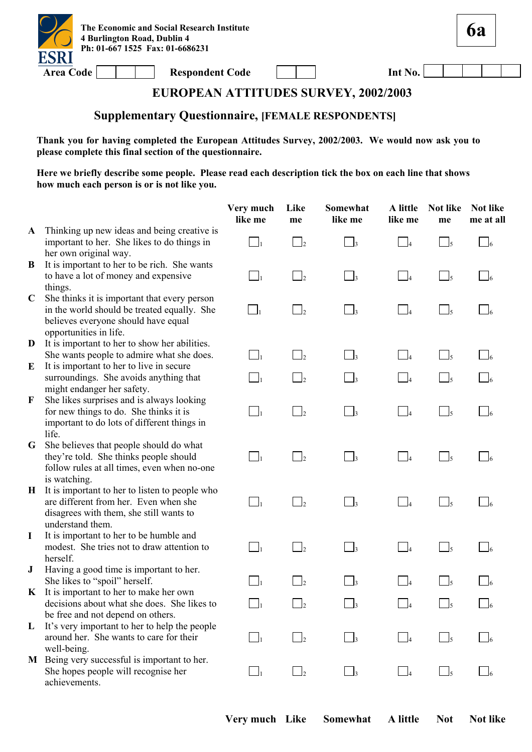

Area Code **Respondent Code Int No.** 

**6a**

### **EUROPEAN ATTITUDES SURVEY, 2002/2003**

#### **Supplementary Questionnaire, [FEMALE RESPONDENTS]**

**Thank you for having completed the European Attitudes Survey, 2002/2003. We would now ask you to please complete this final section of the questionnaire.** 

|              |                                                                                                                                                              | Very much<br>like me       | Like<br>me                 | Somewhat<br>like me | A little<br>like me  | <b>Not like</b><br>me               | Not like<br>me at all |
|--------------|--------------------------------------------------------------------------------------------------------------------------------------------------------------|----------------------------|----------------------------|---------------------|----------------------|-------------------------------------|-----------------------|
| $\mathbf{A}$ | Thinking up new ideas and being creative is<br>important to her. She likes to do things in<br>her own original way.                                          | $\Box_1$                   | $\overline{\phantom{0}}$ 2 | $\vert$ 3           | $\vert$ 4            | $\Box$ <sub>5</sub>                 | $\Box$ 6              |
| B            | It is important to her to be rich. She wants<br>to have a lot of money and expensive<br>things.                                                              | $\Box_1$                   | $\overline{2}$             | $\Box$ <sub>3</sub> | $\Box$               | $\Box$ 5                            | $\sqrt{6}$            |
| $\mathbf C$  | She thinks it is important that every person<br>in the world should be treated equally. She<br>believes everyone should have equal<br>opportunities in life. | $\overline{\phantom{a}}$ 1 | $\overline{2}$             | $\Box$ 3            | $\Box_4$             | $\Box$ 5                            | $\frac{1}{6}$         |
| D            | It is important to her to show her abilities.                                                                                                                |                            |                            |                     |                      |                                     |                       |
| E            | She wants people to admire what she does.<br>It is important to her to live in secure                                                                        | $\Box_1$                   | $\overline{\phantom{a}}$   | $\Box_3$            | $\Box_4$             | $\Box$ <sub>5</sub>                 | $\Box$ 6              |
|              | surroundings. She avoids anything that<br>might endanger her safety.                                                                                         | $\Box_1$                   | $\overline{\phantom{0}}^2$ | $\vert$ 3           | $\Box$ 4             | $\Box$ 5                            |                       |
| F            | She likes surprises and is always looking<br>for new things to do. She thinks it is<br>important to do lots of different things in<br>life.                  | $\Box_1$                   | $\overline{2}$             | $\Box$ <sub>3</sub> | $\Box$ 4             | $\Box$                              | $\Box$ 6              |
| G            | She believes that people should do what<br>they're told. She thinks people should<br>follow rules at all times, even when no-one<br>is watching.             | $\Box_1$                   | $\Box$ <sub>2</sub>        | $\Box_3$            | $\Box_4$             | $\overline{\phantom{0}}$ 5          | $\Box$ 6              |
| $\bf{H}$     | It is important to her to listen to people who<br>are different from her. Even when she<br>disagrees with them, she still wants to<br>understand them.       | $\Box_1$                   | $\vert$ 2                  | $\vert$ 3           | $\vert$ 4            | $\mathsf{\underline{J}}$ 5          |                       |
| $\bf{I}$     | It is important to her to be humble and<br>modest. She tries not to draw attention to<br>herself.                                                            | $\Box_1$                   | $\overline{2}$             | $\Box$              | $\overline{4}$       | $\Box$ 5                            |                       |
| ${\bf J}$    | Having a good time is important to her.<br>She likes to "spoil" herself.                                                                                     | $\Box$                     | $\Box$ 2                   | $\frac{1}{3}$       | $\Box$               | $\mathsf{\underline{\mathsf{J}}}_5$ |                       |
| $\mathbf{K}$ | It is important to her to make her own<br>decisions about what she does. She likes to<br>be free and not depend on others.                                   | $\Box_1$                   | $\Box$ 2                   | $\Box_3$            | $\Box$ 4             | $\Box$ <sub>5</sub>                 | $\Box$ 6              |
| L            | It's very important to her to help the people<br>around her. She wants to care for their<br>well-being.                                                      | $\Box_1$                   | $\overline{\phantom{a}}$   | $\Box$ 3            | $\Box$ 4             | $\Box$ 5                            |                       |
| M            | Being very successful is important to her.<br>She hopes people will recognise her<br>achievements.                                                           | $\Box_1$                   | $\Box$                     | $\Box$ 3            | $\vert$ <sup>4</sup> | $\Box$                              |                       |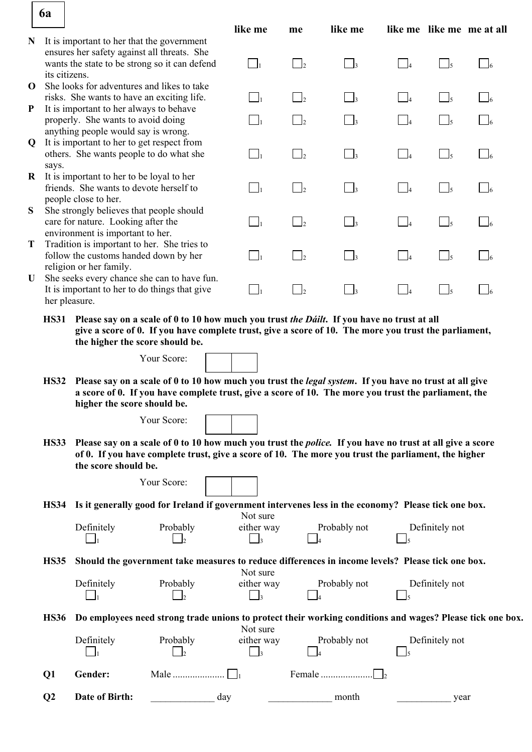|              | 6a                                                                                                                                                                                                                                                                   |                                                                                       |                                                                                                                                                                                                                         |                             |                            |                              |                |                     |                           |
|--------------|----------------------------------------------------------------------------------------------------------------------------------------------------------------------------------------------------------------------------------------------------------------------|---------------------------------------------------------------------------------------|-------------------------------------------------------------------------------------------------------------------------------------------------------------------------------------------------------------------------|-----------------------------|----------------------------|------------------------------|----------------|---------------------|---------------------------|
| N            |                                                                                                                                                                                                                                                                      | It is important to her that the government                                            |                                                                                                                                                                                                                         | like me                     | me                         | like me                      |                |                     | like me like me me at all |
|              |                                                                                                                                                                                                                                                                      | ensures her safety against all threats. She                                           |                                                                                                                                                                                                                         |                             |                            |                              |                |                     |                           |
|              | its citizens.                                                                                                                                                                                                                                                        |                                                                                       | wants the state to be strong so it can defend                                                                                                                                                                           | $\Box_1$                    | $\overline{\phantom{a}}$ 2 | $\vert$ $\vert$ <sub>3</sub> | $\Box$         | $\Box_5$            | $\Box$ 6                  |
| $\mathbf 0$  |                                                                                                                                                                                                                                                                      | She looks for adventures and likes to take                                            |                                                                                                                                                                                                                         |                             |                            |                              |                |                     |                           |
| $\mathbf{P}$ |                                                                                                                                                                                                                                                                      | risks. She wants to have an exciting life.<br>It is important to her always to behave |                                                                                                                                                                                                                         | $\Box_1$                    | $\Box$ <sub>2</sub>        | $\Box$ 3                     | $\Box$         | $\Box_5$            | $\Box_6$                  |
|              |                                                                                                                                                                                                                                                                      | properly. She wants to avoid doing                                                    |                                                                                                                                                                                                                         | $\Box_1$                    | $\Box_2$                   | $\Box_3$                     | $\Box$         | $\Box$ <sub>5</sub> | $\Box$ 6                  |
| $\mathbf Q$  |                                                                                                                                                                                                                                                                      | anything people would say is wrong.<br>It is important to her to get respect from     |                                                                                                                                                                                                                         |                             |                            |                              |                |                     |                           |
|              |                                                                                                                                                                                                                                                                      | others. She wants people to do what she                                               |                                                                                                                                                                                                                         | $\bigsqcup_1$               | $\Box$ <sub>2</sub>        | $\Box$                       | $\blacksquare$ | $\Box_5$            | $\Box$ 6                  |
| $\bf{R}$     | says.                                                                                                                                                                                                                                                                | It is important to her to be loyal to her                                             |                                                                                                                                                                                                                         |                             |                            |                              |                |                     |                           |
|              |                                                                                                                                                                                                                                                                      | friends. She wants to devote herself to                                               |                                                                                                                                                                                                                         | $\Box_1$                    | $\overline{2}$             | $\Box_3$                     | $\Box$         | $\Box_5$            | $\Box$ 6                  |
| S            |                                                                                                                                                                                                                                                                      | people close to her.<br>She strongly believes that people should                      |                                                                                                                                                                                                                         |                             |                            |                              |                |                     |                           |
|              |                                                                                                                                                                                                                                                                      | care for nature. Looking after the                                                    |                                                                                                                                                                                                                         | $\Box_1$                    | $\Box$ 2                   | $\Box_3$                     | $\Box_4$       | $\Box_5$            | $\Box$ 6                  |
| T            |                                                                                                                                                                                                                                                                      | environment is important to her.<br>Tradition is important to her. She tries to       |                                                                                                                                                                                                                         |                             |                            |                              |                |                     |                           |
|              |                                                                                                                                                                                                                                                                      | follow the customs handed down by her                                                 |                                                                                                                                                                                                                         | $\Box_1$                    | $\Box$ 2                   | $\Box_3$                     | $\Box$         | $\Box_5$            | $\Box$ 6                  |
| U            |                                                                                                                                                                                                                                                                      | religion or her family.                                                               | She seeks every chance she can to have fun.                                                                                                                                                                             |                             |                            |                              |                |                     |                           |
|              | her pleasure.                                                                                                                                                                                                                                                        | It is important to her to do things that give                                         |                                                                                                                                                                                                                         | $\Box_1$                    | $\Box_2$                   | $\Box$ <sub>3</sub>          | $\Box_4$       | $\Box_5$            | $\Box_6$                  |
|              | Please say on a scale of 0 to 10 how much you trust the Dáilt. If you have no trust at all<br><b>HS31</b><br>give a score of 0. If you have complete trust, give a score of 10. The more you trust the parliament,<br>the higher the score should be.<br>Your Score: |                                                                                       |                                                                                                                                                                                                                         |                             |                            |                              |                |                     |                           |
|              | <b>HS32</b>                                                                                                                                                                                                                                                          | higher the score should be.                                                           | Please say on a scale of 0 to 10 how much you trust the <i>legal system</i> . If you have no trust at all give<br>a score of 0. If you have complete trust, give a score of 10. The more you trust the parliament, the  |                             |                            |                              |                |                     |                           |
|              |                                                                                                                                                                                                                                                                      |                                                                                       | Your Score:                                                                                                                                                                                                             |                             |                            |                              |                |                     |                           |
|              | <b>HS33</b>                                                                                                                                                                                                                                                          | the score should be.                                                                  | Please say on a scale of 0 to 10 how much you trust the <i>police</i> . If you have no trust at all give a score<br>of 0. If you have complete trust, give a score of 10. The more you trust the parliament, the higher |                             |                            |                              |                |                     |                           |
|              |                                                                                                                                                                                                                                                                      |                                                                                       | Your Score:                                                                                                                                                                                                             |                             |                            |                              |                |                     |                           |
|              | <b>HS34</b>                                                                                                                                                                                                                                                          |                                                                                       | Is it generally good for Ireland if government intervenes less in the economy? Please tick one box.                                                                                                                     |                             |                            |                              |                |                     |                           |
|              |                                                                                                                                                                                                                                                                      | Definitely                                                                            | Probably                                                                                                                                                                                                                | Not sure<br>either way      |                            | Probably not                 |                | Definitely not      |                           |
|              |                                                                                                                                                                                                                                                                      |                                                                                       |                                                                                                                                                                                                                         | $\vert$ 3                   |                            |                              |                |                     |                           |
|              | <b>HS35</b>                                                                                                                                                                                                                                                          |                                                                                       | Should the government take measures to reduce differences in income levels? Please tick one box.                                                                                                                        |                             |                            |                              |                |                     |                           |
|              |                                                                                                                                                                                                                                                                      | Definitely                                                                            | Probably                                                                                                                                                                                                                | Not sure<br>either way      |                            | Probably not                 |                | Definitely not      |                           |
|              |                                                                                                                                                                                                                                                                      | $\lceil \ \rfloor_1$                                                                  | $\Box$ <sub>2</sub>                                                                                                                                                                                                     | $\vert$ $\vert$ 3           |                            |                              |                |                     |                           |
|              | <b>HS36</b>                                                                                                                                                                                                                                                          |                                                                                       | Do employees need strong trade unions to protect their working conditions and wages? Please tick one box.                                                                                                               | Not sure                    |                            |                              |                |                     |                           |
|              |                                                                                                                                                                                                                                                                      | Definitely                                                                            | Probably<br>$\vert$                                                                                                                                                                                                     | either way<br>$\frac{1}{3}$ |                            | Probably not                 |                | Definitely not      |                           |
|              | Q <sub>1</sub>                                                                                                                                                                                                                                                       | Gender:                                                                               |                                                                                                                                                                                                                         |                             |                            | Female                       |                |                     |                           |
|              | Q <sub>2</sub>                                                                                                                                                                                                                                                       | Date of Birth:                                                                        |                                                                                                                                                                                                                         | day                         |                            | month                        |                | year                |                           |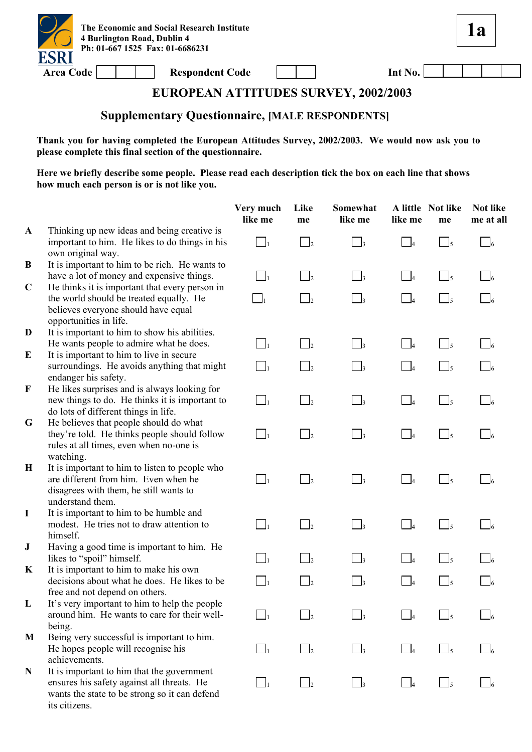

**1a**

## **EUROPEAN ATTITUDES SURVEY, 2002/2003**

# **Supplementary Questionnaire, [MALE RESPONDENTS]**

**Thank you for having completed the European Attitudes Survey, 2002/2003. We would now ask you to please complete this final section of the questionnaire.** 

|              |                                                                                                                                                            | Very much<br>like me | Like<br>me           | Somewhat<br>like me        | like me                    | A little Not like<br>me | Not like<br>me at all |
|--------------|------------------------------------------------------------------------------------------------------------------------------------------------------------|----------------------|----------------------|----------------------------|----------------------------|-------------------------|-----------------------|
| $\mathbf{A}$ | Thinking up new ideas and being creative is<br>important to him. He likes to do things in his<br>own original way.                                         | $\Box_1$             | $\bigcup_{2}$        | $\overline{\phantom{a}}$ 3 | $\Box$ 4                   | $\bigcup_{5}$           | $\bigcup_{6}$         |
| B            | It is important to him to be rich. He wants to<br>have a lot of money and expensive things.                                                                | $\Box_1$             | $\Box_2$             | $\Box$ 3                   | $\Box$ 4                   | $\Box$ <sub>5</sub>     |                       |
| $\mathbf C$  | He thinks it is important that every person in<br>the world should be treated equally. He<br>believes everyone should have equal<br>opportunities in life. | $\Box_1$             | $\Box$               | $\Box$ <sub>3</sub>        | $\Box$                     | $\bigcup_{5}$           |                       |
| D<br>E       | It is important to him to show his abilities.<br>He wants people to admire what he does.<br>It is important to him to live in secure                       | $\Box$               | $\Box_2$             | $\Box_3$                   | $\Box_4$                   | $\Box$ <sub>5</sub>     |                       |
|              | surroundings. He avoids anything that might<br>endanger his safety.                                                                                        | $\Box_1$             | $\Box_2$             | $\Box$ 3                   | $\overline{\phantom{0}}$ 4 | $\Box$ <sub>5</sub>     |                       |
| $\mathbf F$  | He likes surprises and is always looking for<br>new things to do. He thinks it is important to<br>do lots of different things in life.                     | $\Box_1$             | $\Box_2$             | $\Box_3$                   | $\Box$ 4                   | $\bigcup_{5}$           | $\Box$ 6              |
| G            | He believes that people should do what<br>they're told. He thinks people should follow<br>rules at all times, even when no-one is<br>watching.             | $\Box_1$             | $\Box_2$             | $\Box_3$                   | $\overline{\phantom{0}}$ 4 | $\Box$ <sub>5</sub>     | $\Box$ 6              |
| $\bf H$      | It is important to him to listen to people who<br>are different from him. Even when he<br>disagrees with them, he still wants to<br>understand them.       | $\Box$               | $\Box$               | $\Box$ <sub>3</sub>        | $\overline{\phantom{0}}$ 4 | $\frac{1}{5}$           | $\Box$ 6              |
| $\mathbf I$  | It is important to him to be humble and<br>modest. He tries not to draw attention to<br>himself.                                                           | $\Box$               | $\Box_2$             | $\Box_3$                   | $\overline{\phantom{0}}$ 4 | $\Box$ <sub>5</sub>     | $\Box$                |
| ${\bf J}$    | Having a good time is important to him. He<br>likes to "spoil" himself.                                                                                    | $\vert$ $\vert$      | $\vert$ <sub>2</sub> | $\Box$ <sub>3</sub>        | $\bigcup_{i=1}^{n}$        | $\bigcup_{5}$           |                       |
| K            | It is important to him to make his own<br>decisions about what he does. He likes to be<br>free and not depend on others.                                   | $\Box_1$             | $\Box$               | $\bigcap_{3}$              | $\overline{\phantom{0}}$   | $\frac{1}{2}$           |                       |
| L            | It's very important to him to help the people<br>around him. He wants to care for their well-<br>being.                                                    |                      |                      |                            |                            |                         |                       |
| M            | Being very successful is important to him.<br>He hopes people will recognise his<br>achievements.                                                          | $\vert$ 1            | $\vert$              | $\frac{1}{3}$              | $\overline{\phantom{0}}$ 4 | l5                      |                       |
| N            | It is important to him that the government<br>ensures his safety against all threats. He<br>wants the state to be strong so it can defend<br>its citizens. | $\Box_1$             | $\Box$ <sub>2</sub>  | $\Box$ 3                   | $\Box$ 4                   | $\Box$ <sub>5</sub>     |                       |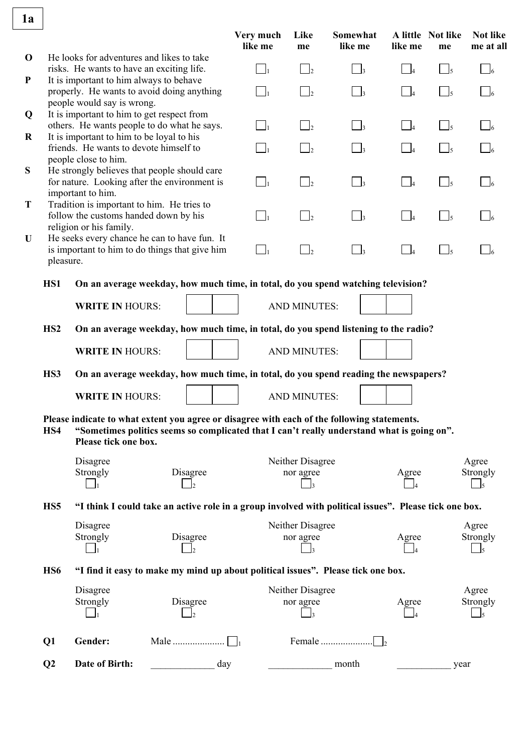| 1a                       |                 |                                                                                                                                                                                                                   | Very much | Like                          | Somewhat            |                            | A little Not like              | <b>Not like</b>   |
|--------------------------|-----------------|-------------------------------------------------------------------------------------------------------------------------------------------------------------------------------------------------------------------|-----------|-------------------------------|---------------------|----------------------------|--------------------------------|-------------------|
|                          |                 |                                                                                                                                                                                                                   | like me   | me                            | like me             | like me                    | me                             | me at all         |
| $\mathbf 0$<br>${\bf P}$ |                 | He looks for adventures and likes to take<br>risks. He wants to have an exciting life.<br>It is important to him always to behave                                                                                 | $\Box_1$  | $\Box$ <sub>2</sub>           | $\Box$ 3            | $\overline{\phantom{0}}$ 4 | $\Box$ 5                       | $\frac{1}{6}$     |
|                          |                 | properly. He wants to avoid doing anything<br>people would say is wrong.                                                                                                                                          | $\Box_1$  | $\Box$ <sub>2</sub>           | $\Box$ 3            | $\Box$ 4                   | $\lfloor \rfloor_5$            |                   |
| Q                        |                 | It is important to him to get respect from<br>others. He wants people to do what he says.                                                                                                                         | $\Box_1$  | $\Box$ <sub>2</sub>           | $\Box$ <sub>3</sub> | $\Box$ 4                   | $\Box_5$                       | $\Box$            |
| $\bf R$                  |                 | It is important to him to be loyal to his<br>friends. He wants to devote himself to                                                                                                                               | $\Box_1$  | $\vert \ \vert_2$             | $\Box$ 3            | $\Box$                     | $\overline{1}$ $\overline{5}$  |                   |
| ${\bf S}$                |                 | people close to him.<br>He strongly believes that people should care<br>for nature. Looking after the environment is<br>important to him.                                                                         | $\Box_1$  | $\Box$ <sub>2</sub>           | $\Box$ <sub>3</sub> | $\Box$ 4                   | $\Box$ <sub>5</sub>            |                   |
| T                        |                 | Tradition is important to him. He tries to<br>follow the customs handed down by his<br>religion or his family.                                                                                                    | $\Box_1$  | $\Box$ <sub>2</sub>           | $\Box_3$            | $\Box_4$                   | $\sqcap$ $\sqcup$ <sub>5</sub> | $\frac{1}{6}$     |
| U                        | pleasure.       | He seeks every chance he can to have fun. It<br>is important to him to do things that give him                                                                                                                    | $\Box_1$  | $\Box_2$                      | $\Box_3$            | $\overline{\phantom{0}}$ 4 | $\Box_5$                       |                   |
|                          | HS1             | On an average weekday, how much time, in total, do you spend watching television?                                                                                                                                 |           |                               |                     |                            |                                |                   |
|                          |                 | <b>WRITE IN HOURS:</b>                                                                                                                                                                                            |           | <b>AND MINUTES:</b>           |                     |                            |                                |                   |
|                          | HS <sub>2</sub> | On an average weekday, how much time, in total, do you spend listening to the radio?                                                                                                                              |           |                               |                     |                            |                                |                   |
|                          |                 | <b>WRITE IN HOURS:</b>                                                                                                                                                                                            |           | <b>AND MINUTES:</b>           |                     |                            |                                |                   |
|                          | HS3             | On an average weekday, how much time, in total, do you spend reading the newspapers?                                                                                                                              |           |                               |                     |                            |                                |                   |
|                          |                 | <b>WRITE IN HOURS:</b>                                                                                                                                                                                            |           | <b>AND MINUTES:</b>           |                     |                            |                                |                   |
|                          | HS4             | Please indicate to what extent you agree or disagree with each of the following statements.<br>"Sometimes politics seems so complicated that I can't really understand what is going on".<br>Please tick one box. |           |                               |                     |                            |                                |                   |
|                          |                 | Disagree<br>Strongly<br>Disagree                                                                                                                                                                                  |           | Neither Disagree<br>nor agree |                     | Agree                      |                                | Agree<br>Strongly |
|                          | HS <sub>5</sub> | "I think I could take an active role in a group involved with political issues". Please tick one box.                                                                                                             |           |                               |                     |                            |                                |                   |
|                          |                 | Disagree<br>Strongly<br>Disagree                                                                                                                                                                                  |           | Neither Disagree<br>nor agree |                     | Agree                      |                                | Agree<br>Strongly |
|                          | H <sub>S6</sub> | "I find it easy to make my mind up about political issues". Please tick one box.                                                                                                                                  |           |                               |                     |                            |                                |                   |
|                          |                 | Disagree<br>Strongly<br>Disagree                                                                                                                                                                                  |           | Neither Disagree<br>nor agree |                     | Agree                      |                                | Agree<br>Strongly |
|                          | Q1              | Gender:                                                                                                                                                                                                           |           |                               | Female              |                            |                                |                   |
|                          | Q <sub>2</sub>  | Date of Birth:<br>day                                                                                                                                                                                             |           |                               | month               |                            | year                           |                   |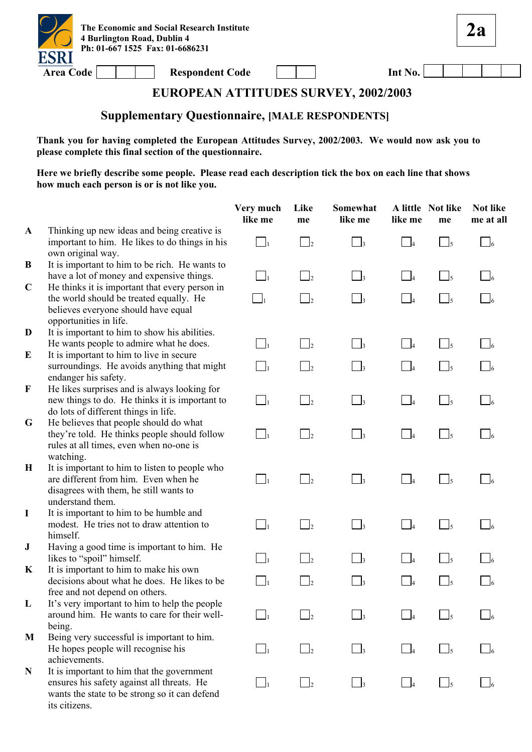

**2a**

### **EUROPEAN ATTITUDES SURVEY, 2002/2003**

# **Supplementary Questionnaire, [MALE RESPONDENTS]**

**Thank you for having completed the European Attitudes Survey, 2002/2003. We would now ask you to please complete this final section of the questionnaire.** 

|              |                                                                                                                                                            | Very much<br>like me | Like<br>me           | Somewhat<br>like me        | like me                    | A little Not like<br>me                           | Not like<br>me at all |
|--------------|------------------------------------------------------------------------------------------------------------------------------------------------------------|----------------------|----------------------|----------------------------|----------------------------|---------------------------------------------------|-----------------------|
| $\mathbf{A}$ | Thinking up new ideas and being creative is<br>important to him. He likes to do things in his<br>own original way.                                         | $\Box_1$             | $\bigcup_{2}$        | $\overline{\phantom{a}}$ 3 | $\Box$ 4                   | $\frac{1}{5}$                                     | $\Box$                |
| B            | It is important to him to be rich. He wants to<br>have a lot of money and expensive things.                                                                | $\Box_1$             | $\vert$ <sub>2</sub> | $\vert$ <sub>3</sub>       | $\Box$ 4                   | $\Box_5$                                          |                       |
| $\mathbf C$  | He thinks it is important that every person in<br>the world should be treated equally. He<br>believes everyone should have equal<br>opportunities in life. | $\Box_1$             | $\mathbb{I}_2$       | $\Box$ 3                   | $\Box$                     | $\bigcup_{5}$                                     |                       |
| D<br>E       | It is important to him to show his abilities.<br>He wants people to admire what he does.<br>It is important to him to live in secure                       | $\Box$               | $\Box_2$             | $\Box_3$                   | $\Box_4$                   | $\Box$ <sub>5</sub>                               |                       |
|              | surroundings. He avoids anything that might<br>endanger his safety.                                                                                        | $\Box_1$             | $\vert$ <sub>2</sub> | $\Box_3$                   | $\Box$                     | $\Box$ <sub>5</sub>                               |                       |
| $\mathbf F$  | He likes surprises and is always looking for<br>new things to do. He thinks it is important to<br>do lots of different things in life.                     | $\Box_1$             | $\Box_2$             | $\Box_3$                   | $\Box$ 4                   | $\overline{\phantom{a}}$ $\overline{\phantom{a}}$ | $\Box$ 6              |
| G            | He believes that people should do what<br>they're told. He thinks people should follow<br>rules at all times, even when no-one is<br>watching.             | $\Box_1$             | $\mathbf{I}_2$       | $\overline{\phantom{a}}$ 3 | $\Box_4$                   | $\Box$ <sub>5</sub>                               | $\Box$ 6              |
| $\mathbf H$  | It is important to him to listen to people who<br>are different from him. Even when he<br>disagrees with them, he still wants to<br>understand them.       | $\Box$               | $\mathbf{I}_2$       | $\Box$                     | $\Box$                     | $\frac{1}{5}$                                     | $\overline{6}$        |
| $\bf{I}$     | It is important to him to be humble and<br>modest. He tries not to draw attention to<br>himself.                                                           | $\Box_1$             | $\mathbf{I}_2$       | $\Box$ 3                   | $\overline{\phantom{0}}$ 4 | $\Box$ <sub>5</sub>                               | $\Box$ 6              |
| ${\bf J}$    | Having a good time is important to him. He<br>likes to "spoil" himself.                                                                                    | $\mathbf{I}_1$       | $\mathbf{I}_2$       | $\overline{\phantom{a}}$   | $\Box$                     | $\bigcup_{5}$                                     |                       |
| K            | It is important to him to make his own<br>decisions about what he does. He likes to be<br>free and not depend on others.                                   | $\Box_1$             | $\mathsf{I}_2$       | $\mathbf{I}_3$             | $\Box$ 4                   |                                                   |                       |
| L            | It's very important to him to help the people<br>around him. He wants to care for their well-<br>being.                                                    |                      |                      |                            |                            |                                                   |                       |
| M            | Being very successful is important to him.<br>He hopes people will recognise his<br>achievements.                                                          | $\vert$ <sub>1</sub> | b                    | $\vert$ 3                  | $\Box$ 4                   | 15                                                |                       |
| N            | It is important to him that the government<br>ensures his safety against all threats. He<br>wants the state to be strong so it can defend<br>its citizens. | $\Box_1$             | $\vert$ <sub>2</sub> | $\Box$ 3                   | $\overline{\phantom{a}}$ 4 | $\Box$ <sub>5</sub>                               |                       |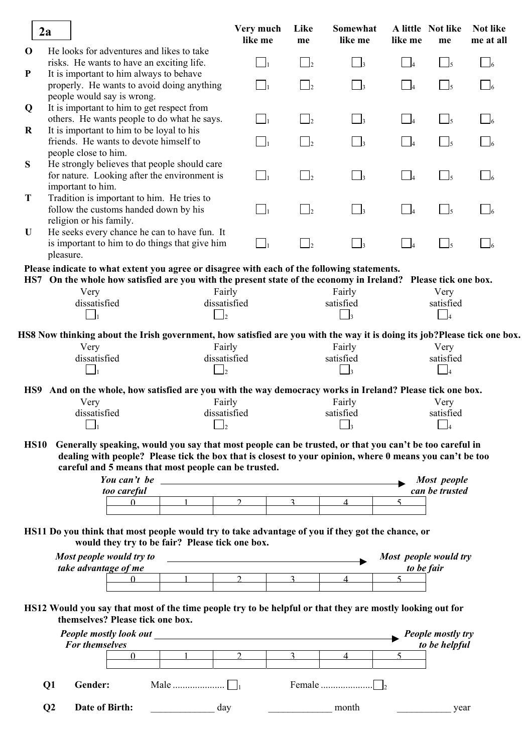|             | 2a                                                                                                                                                                                                                 | Very much<br>like me  | Like<br>me           | Somewhat<br>like me                    | like me                      | A little Not like<br>me    | <b>Not like</b><br>me at all |
|-------------|--------------------------------------------------------------------------------------------------------------------------------------------------------------------------------------------------------------------|-----------------------|----------------------|----------------------------------------|------------------------------|----------------------------|------------------------------|
| $\mathbf 0$ | He looks for adventures and likes to take<br>risks. He wants to have an exciting life.                                                                                                                             | $\ $ $\ _1$           | $\mathbf{l}_2$       | $\bigcup_3$                            | $\Box$                       | $\Box_5$                   | $\Box$ 6                     |
| ${\bf P}$   | It is important to him always to behave                                                                                                                                                                            |                       |                      |                                        |                              |                            |                              |
|             | properly. He wants to avoid doing anything                                                                                                                                                                         | $\Box_1$              | $\mathbf{I}_2$       | $\Box$ 3                               | $\overline{4}$               | $\Box$ <sub>5</sub>        | $\Box$ 6                     |
|             | people would say is wrong.                                                                                                                                                                                         |                       |                      |                                        |                              |                            |                              |
| Q           | It is important to him to get respect from                                                                                                                                                                         |                       |                      |                                        |                              |                            |                              |
|             | others. He wants people to do what he says.                                                                                                                                                                        | $\vert \cdot \vert_1$ | $\mathbf{I}_2$       | $\Box$ 3                               | $\Box_4$                     | $\Box$ <sub>5</sub>        | $\Box$ 6                     |
| $\bf R$     | It is important to him to be loyal to his                                                                                                                                                                          |                       |                      |                                        |                              |                            |                              |
|             | friends. He wants to devote himself to                                                                                                                                                                             |                       | $\vert$              | $\vert$ 3                              | $\overline{4}$               | $\frac{1}{5}$              | $\sqrt{6}$                   |
|             | people close to him.                                                                                                                                                                                               |                       |                      |                                        |                              |                            |                              |
| S           | He strongly believes that people should care<br>for nature. Looking after the environment is                                                                                                                       | $\Box_1$              | $\vert$ <sub>2</sub> | $\Box$ <sub>3</sub>                    | $\Box$                       | $\Box$ <sub>5</sub>        | $\Box$ 6                     |
|             | important to him.                                                                                                                                                                                                  |                       |                      |                                        |                              |                            |                              |
| T           | Tradition is important to him. He tries to                                                                                                                                                                         |                       |                      |                                        |                              |                            |                              |
|             | follow the customs handed down by his                                                                                                                                                                              | $\vert \cdot \vert_1$ | $\Box$               | $\Box$ 3                               | $\overline{a}$               | $\Box$ <sub>5</sub>        | $\Box$ 6                     |
|             | religion or his family.                                                                                                                                                                                            |                       |                      |                                        |                              |                            |                              |
| U           | He seeks every chance he can to have fun. It                                                                                                                                                                       |                       |                      |                                        |                              |                            |                              |
|             | is important to him to do things that give him                                                                                                                                                                     | $\Box_1$              | $\Box$               | $\Box_3$                               |                              | $\Box$ <sub>5</sub>        | $\mathsf{\underline{J}}_6$   |
|             | pleasure.                                                                                                                                                                                                          |                       |                      |                                        |                              |                            |                              |
|             | Please indicate to what extent you agree or disagree with each of the following statements.                                                                                                                        |                       |                      |                                        |                              |                            |                              |
|             | HS7 On the whole how satisfied are you with the present state of the economy in Ireland? Please tick one box.                                                                                                      |                       |                      |                                        |                              |                            |                              |
|             | Fairly<br>Very                                                                                                                                                                                                     |                       |                      | Fairly                                 |                              | Very                       |                              |
|             | dissatisfied<br>dissatisfied                                                                                                                                                                                       |                       |                      | satisfied                              |                              | satisfied                  |                              |
|             | $\  \cdot \ _1$<br>$\begin{bmatrix} 1 \\ 2 \end{bmatrix}$                                                                                                                                                          |                       |                      | $\begin{bmatrix} 1 \\ 3 \end{bmatrix}$ |                              | $\vert$ 4                  |                              |
|             |                                                                                                                                                                                                                    |                       |                      |                                        |                              |                            |                              |
|             | HS8 Now thinking about the Irish government, how satisfied are you with the way it is doing its job?Please tick one box.<br>Fairly                                                                                 |                       |                      |                                        |                              |                            |                              |
|             | Very<br>dissatisfied<br>dissatisfied                                                                                                                                                                               |                       |                      | Fairly<br>satisfied                    |                              | Very<br>satisfied          |                              |
|             | $\Box_1$                                                                                                                                                                                                           |                       |                      | $\overline{\phantom{a}}$ 3             |                              |                            |                              |
|             | $\Box$                                                                                                                                                                                                             |                       |                      |                                        |                              | $\overline{\phantom{0}}$ 4 |                              |
|             | HS9 And on the whole, how satisfied are you with the way democracy works in Ireland? Please tick one box.                                                                                                          |                       |                      |                                        |                              |                            |                              |
|             | Fairly<br>Very                                                                                                                                                                                                     |                       |                      | Fairly                                 |                              | Very                       |                              |
|             | dissatisfied<br>dissatisfied                                                                                                                                                                                       |                       |                      | satisfied                              |                              | satisfied                  |                              |
|             |                                                                                                                                                                                                                    |                       |                      |                                        |                              |                            |                              |
| <b>HS10</b> |                                                                                                                                                                                                                    |                       |                      |                                        |                              |                            |                              |
|             | Generally speaking, would you say that most people can be trusted, or that you can't be too careful in<br>dealing with people? Please tick the box that is closest to your opinion, where 0 means you can't be too |                       |                      |                                        |                              |                            |                              |
|             | careful and 5 means that most people can be trusted.                                                                                                                                                               |                       |                      |                                        |                              |                            |                              |
|             |                                                                                                                                                                                                                    |                       |                      |                                        |                              | Most people                |                              |
|             | too careful                                                                                                                                                                                                        |                       |                      |                                        |                              | can be trusted             |                              |
|             | $\Omega$<br>$1 -$                                                                                                                                                                                                  | $\mathcal{P}$         | $\overline{3}$       | $\Delta$                               | $\varsigma$                  |                            |                              |
|             |                                                                                                                                                                                                                    |                       |                      |                                        |                              |                            |                              |
|             | HS11 Do you think that most people would try to take advantage of you if they got the chance, or                                                                                                                   |                       |                      |                                        |                              |                            |                              |
|             | would they try to be fair? Please tick one box.                                                                                                                                                                    |                       |                      |                                        |                              |                            |                              |
|             |                                                                                                                                                                                                                    |                       |                      |                                        |                              |                            |                              |
|             | Most people would try to                                                                                                                                                                                           |                       |                      |                                        |                              | Most people would try      |                              |
|             | take advantage of me<br>$1 \quad \_$<br>$\mathbf{0}$                                                                                                                                                               | $\overline{2}$        | $\overline{3}$       | $\mathbf{\Delta}$                      | to be fair<br>$\overline{5}$ |                            |                              |
|             |                                                                                                                                                                                                                    |                       |                      |                                        |                              |                            |                              |
|             |                                                                                                                                                                                                                    |                       |                      |                                        |                              |                            |                              |
|             | HS12 Would you say that most of the time people try to be helpful or that they are mostly looking out for                                                                                                          |                       |                      |                                        |                              |                            |                              |
|             | themselves? Please tick one box.                                                                                                                                                                                   |                       |                      |                                        |                              |                            |                              |
|             |                                                                                                                                                                                                                    |                       |                      |                                        |                              | People mostly try          |                              |
|             | For themselves                                                                                                                                                                                                     |                       |                      |                                        |                              | to be helpful              |                              |
|             | $\begin{array}{ccc} & 1 & \ldots & 2 \end{array}$<br>$\mathbf{0}$                                                                                                                                                  |                       | $\overline{3}$       | $\overline{4}$                         | $\sim$                       |                            |                              |
|             |                                                                                                                                                                                                                    |                       |                      |                                        |                              |                            |                              |
|             | Gender:<br>Q <sub>1</sub>                                                                                                                                                                                          |                       |                      |                                        |                              |                            |                              |
|             |                                                                                                                                                                                                                    |                       |                      |                                        |                              |                            |                              |
|             | Date of Birth:<br>$\bf Q2$<br>day                                                                                                                                                                                  |                       |                      | month                                  |                              | year                       |                              |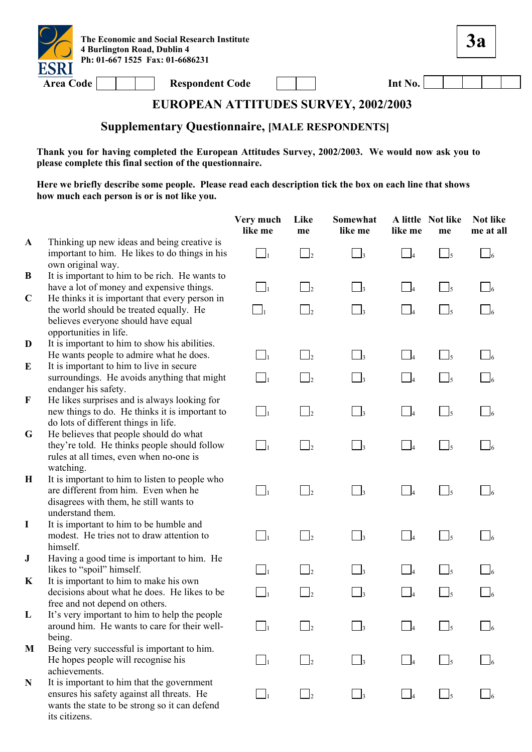

**3a**

# **EUROPEAN ATTITUDES SURVEY, 2002/2003**

#### **Supplementary Questionnaire, [MALE RESPONDENTS]**

**Thank you for having completed the European Attitudes Survey, 2002/2003. We would now ask you to please complete this final section of the questionnaire.** 

|               |                                                                                                                                                            | Very much<br>like me | Like<br>me           | Somewhat<br>like me        | like me                    | A little Not like<br>me     | <b>Not like</b><br>me at all |
|---------------|------------------------------------------------------------------------------------------------------------------------------------------------------------|----------------------|----------------------|----------------------------|----------------------------|-----------------------------|------------------------------|
| $\mathbf{A}$  | Thinking up new ideas and being creative is<br>important to him. He likes to do things in his<br>own original way.                                         | $\Box_1$             | $\Box$ <sub>2</sub>  | $\overline{\phantom{a}}$ 3 | $\Box$ 4                   | $\Box$ <sub>5</sub>         | $\Box$ 6                     |
| B             | It is important to him to be rich. He wants to<br>have a lot of money and expensive things.                                                                | $\Box_1$             | $\mathbf{I}_2$       | $\overline{\phantom{a}}_3$ | $\overline{\phantom{0}}$ 4 | $\bigcup_{5}$               | $\vert$ 6                    |
| $\mathbf C$   | He thinks it is important that every person in<br>the world should be treated equally. He<br>believes everyone should have equal<br>opportunities in life. | $\Box_1$             | $\mathbf{I}_2$       | $\Box$                     | $\Box$ 4                   | $\Box$ <sub>5</sub>         | $\Box$ 6                     |
| D<br>$\bf{E}$ | It is important to him to show his abilities.<br>He wants people to admire what he does.<br>It is important to him to live in secure                       | $\Box_1$             | $\mathbf{I}_2$       | $\Box$ 3                   | $\Box$ 4                   | $\Box$ <sub>5</sub>         |                              |
|               | surroundings. He avoids anything that might<br>endanger his safety.                                                                                        | $\Box_1$             | $\mathbf{I}_2$       | $\overline{\phantom{a}}_3$ | $\overline{\phantom{0}}$ 4 | $\frac{1}{5}$               |                              |
| $\mathbf F$   | He likes surprises and is always looking for<br>new things to do. He thinks it is important to<br>do lots of different things in life.                     | $\Box_1$             | $\vert$ <sub>2</sub> | $\Box$                     | $\Box$ 4                   | $\Box$ <sub>5</sub>         | $\Box$                       |
| G             | He believes that people should do what<br>they're told. He thinks people should follow<br>rules at all times, even when no-one is<br>watching.             | $\Box_1$             | $\Box$ <sub>2</sub>  | $\Box$ <sub>3</sub>        | $\Box_4$                   | $\Box_5$                    | $\Box$ 6                     |
| $\mathbf H$   | It is important to him to listen to people who<br>are different from him. Even when he<br>disagrees with them, he still wants to<br>understand them.       | $\Box_1$             | $\Box$               | $\overline{\phantom{a}}_3$ | $\overline{\phantom{0}}$   | $\Box$ <sub>5</sub>         | $\Box$ 6                     |
| $\bf{I}$      | It is important to him to be humble and<br>modest. He tries not to draw attention to<br>himself.                                                           | $\Box_1$             | $\mathbf{I}_2$       | $\overline{\phantom{a}}$   | $-4$                       | $\Box$ <sub>5</sub>         |                              |
| ${\bf J}$     | Having a good time is important to him. He<br>likes to "spoil" himself.                                                                                    | $\Box$               | $\Box$               | $\Box$ 3                   | $\overline{\phantom{0}}$ 4 | $\mathcal{L}_{\mathcal{A}}$ |                              |
| K             | It is important to him to make his own<br>decisions about what he does. He likes to be<br>free and not depend on others.                                   | $\Box_1$             | $\mathbf{I}_2$       | $\vert$ <sub>3</sub>       | $\overline{4}$             | $\Box$ <sub>5</sub>         |                              |
| L             | It's very important to him to help the people<br>around him. He wants to care for their well-<br>being.                                                    |                      |                      |                            |                            |                             |                              |
| M             | Being very successful is important to him.<br>He hopes people will recognise his<br>achievements.                                                          | $\vert$ $\vert$      | $\Box$               | $\Box$ 3                   | $\Box$ 4                   | $\frac{1}{5}$               |                              |
| $\mathbf N$   | It is important to him that the government<br>ensures his safety against all threats. He<br>wants the state to be strong so it can defend<br>its citizens. | $\Box$               | $\mathsf{L}$         | $\vert$ 3                  | $\vert \_4$                | $\frac{1}{5}$               |                              |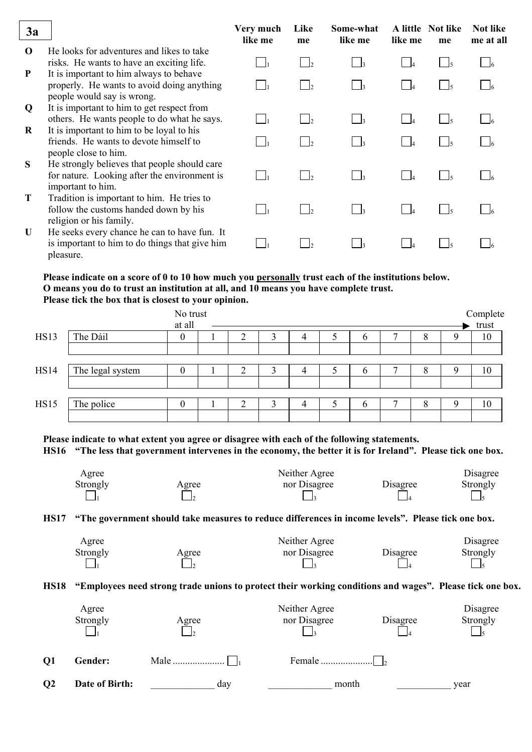| 3a           |                                                                                                                         | Very much<br>like me | Like<br>me   | Some-what<br>like me | A little<br>like me | Not like<br>me | <b>Not like</b><br>me at all |
|--------------|-------------------------------------------------------------------------------------------------------------------------|----------------------|--------------|----------------------|---------------------|----------------|------------------------------|
| $\Omega$     | He looks for adventures and likes to take<br>risks. He wants to have an exciting life.                                  |                      | $\mathsf{L}$ | $\Box$ 3             |                     | $\frac{1}{2}$  |                              |
| P            | It is important to him always to behave<br>properly. He wants to avoid doing anything                                   |                      | $\mathsf{L}$ | $\vert$ 3            |                     |                |                              |
| Q            | people would say is wrong.<br>It is important to him to get respect from<br>others. He wants people to do what he says. |                      |              | $\vert$ 3            |                     |                |                              |
| R            | It is important to him to be loyal to his<br>friends. He wants to devote himself to<br>people close to him.             |                      |              | $\vert$ $\vert$ 3    |                     |                |                              |
| S            | He strongly believes that people should care<br>for nature. Looking after the environment is<br>important to him.       |                      |              | $\vert$ $\vert$ 3    |                     |                |                              |
| T            | Tradition is important to him. He tries to<br>follow the customs handed down by his<br>religion or his family.          |                      |              | $\vert$ $\vert$ 3    |                     |                |                              |
| $\mathbf{U}$ | He seeks every chance he can to have fun. It<br>is important to him to do things that give him<br>pleasure.             |                      |              | $\vert$ $\vert$ 3    |                     |                |                              |

#### **Please indicate on a score of 0 to 10 how much you personally trust each of the institutions below. O means you do to trust an institution at all, and 10 means you have complete trust. Please tick the box that is closest to your opinion.**

|             |                  | No trust<br>at all |   |   |   |               |   |   | Complete<br>trust |
|-------------|------------------|--------------------|---|---|---|---------------|---|---|-------------------|
| HS13        | The Dáil         | O                  |   | 4 | ت | $\mathfrak b$ | 8 |   | 10                |
| <b>HS14</b> | The legal system | $\theta$           | n | 4 |   | <sub>b</sub>  | 8 | O | 10                |
| <b>HS15</b> | The police       | 0                  | ◠ | 4 |   | $\mathfrak b$ | 8 | O | 10                |

**Please indicate to what extent you agree or disagree with each of the following statements. HS16 "The less that government intervenes in the economy, the better it is for Ireland". Please tick one box.** 

| Agree    |       | Neither Agree |          | Disagree |
|----------|-------|---------------|----------|----------|
| Strongly | Agree | nor Disagree  | Disagree | Strongly |
|          |       |               |          |          |

#### **HS17 "The government should take measures to reduce differences in income levels". Please tick one box.**

| Agree    |       | Neither Agree |          | Disagree |
|----------|-------|---------------|----------|----------|
| Strongly | Agree | nor Disagree  | Disagree | Strongly |
|          |       |               |          |          |

**HS18 "Employees need strong trade unions to protect their working conditions and wages". Please tick one box.** 

|                 | Agree<br>Strongly | Agree | Neither Agree<br>nor Disagree | Disagree | Disagree<br>Strongly |
|-----------------|-------------------|-------|-------------------------------|----------|----------------------|
| <b>O1</b>       | Gender:           |       |                               |          |                      |
| $\overline{O2}$ | Date of Birth:    | day   | month                         |          | vear                 |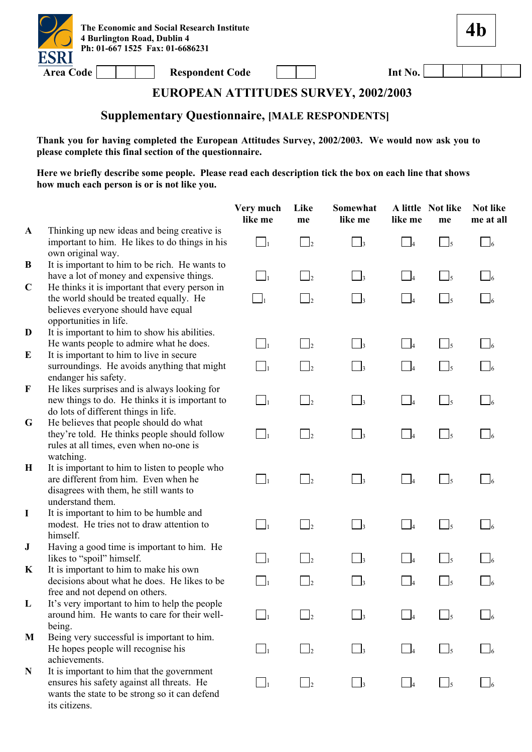

**4b**

### **EUROPEAN ATTITUDES SURVEY, 2002/2003**

# **Supplementary Questionnaire, [MALE RESPONDENTS]**

**Thank you for having completed the European Attitudes Survey, 2002/2003. We would now ask you to please complete this final section of the questionnaire.** 

|              |                                                                                                                                                            | Very much<br>like me | Like<br>me           | Somewhat<br>like me            | like me                  | A little Not like<br>me  | Not like<br>me at all |
|--------------|------------------------------------------------------------------------------------------------------------------------------------------------------------|----------------------|----------------------|--------------------------------|--------------------------|--------------------------|-----------------------|
| $\mathbf{A}$ | Thinking up new ideas and being creative is<br>important to him. He likes to do things in his<br>own original way.                                         | $\Box_1$             | $\Box$ <sub>2</sub>  | $\Box$ 3                       | $\Box$ 4                 | $\Box$ 5                 | $\Box$ 6              |
| B            | It is important to him to be rich. He wants to<br>have a lot of money and expensive things.                                                                | $\Box_1$             | $\Box$ <sub>2</sub>  | $\Box$ <sub>3</sub>            | $\Box$                   | $\lceil \cdot \rfloor_5$ |                       |
| $\mathbf C$  | He thinks it is important that every person in<br>the world should be treated equally. He<br>believes everyone should have equal<br>opportunities in life. | $\Box_1$             | $\Box$               | $\Box$                         | $\Box$ 4                 | $\Box$ <sub>5</sub>      |                       |
| D            | It is important to him to show his abilities.<br>He wants people to admire what he does.                                                                   | $\Box_1$             | $\vert$ <sub>2</sub> | $\overline{\phantom{a}}$ 3     | $\Box_4$                 | $\Box$ <sub>5</sub>      |                       |
| E            | It is important to him to live in secure<br>surroundings. He avoids anything that might<br>endanger his safety.                                            | $\Box_1$             | $\vert$              | $\overline{\phantom{a}}$ 3     | $\Box$                   | $\frac{1}{5}$            |                       |
| $\mathbf F$  | He likes surprises and is always looking for<br>new things to do. He thinks it is important to<br>do lots of different things in life.                     | $\Box_1$             | $\Box_2$             | $\Box_3$                       | $\Box_4$                 | $\Box$ <sub>5</sub>      | $\Box$ 6              |
| G            | He believes that people should do what<br>they're told. He thinks people should follow<br>rules at all times, even when no-one is<br>watching.             | $\Box_1$             | $\mathbf{I}_2$       | $\overline{\phantom{a}}$ 3     | $-4$                     | $\bigcap_{5}$            | $\Box$                |
| H            | It is important to him to listen to people who<br>are different from him. Even when he<br>disagrees with them, he still wants to<br>understand them.       | $\Box$               | $\Box_2$             | $\Box$ <sub>3</sub>            | $\Box$ 4                 | $\Box$ <sub>5</sub>      | $\Box$ 6              |
| $\bf{I}$     | It is important to him to be humble and<br>modest. He tries not to draw attention to<br>himself.                                                           | $\Box$               | $\mathbf{I}_2$       | $\overline{\phantom{a}}$       | $\overline{\phantom{0}}$ | $\Box$ <sub>5</sub>      | $\Box$ 6              |
| ${\bf J}$    | Having a good time is important to him. He<br>likes to "spoil" himself.                                                                                    | $\vert$ <sub>1</sub> | $\vert$ <sub>2</sub> | $\Box$ 3                       | $\overline{\phantom{a}}$ | $\Box$ <sub>5</sub>      |                       |
| K            | It is important to him to make his own<br>decisions about what he does. He likes to be<br>free and not depend on others.                                   | $\Box_1$             | $\mathbf{I}_2$       | $\begin{array}{c} \end{array}$ | $-4$                     | $\frac{1}{5}$            |                       |
| L            | It's very important to him to help the people<br>around him. He wants to care for their well-<br>being.                                                    |                      |                      |                                |                          |                          |                       |
| M            | Being very successful is important to him.<br>He hopes people will recognise his<br>achievements.                                                          | $\bigcup_{i=1}^n$    | $\vert$ <sub>2</sub> | $\vert$ 3                      | $\overline{\phantom{a}}$ | $\frac{1}{5}$            |                       |
| N            | It is important to him that the government<br>ensures his safety against all threats. He<br>wants the state to be strong so it can defend<br>its citizens. | $\vert$ $\vert$      | $\frac{1}{2}$        | $\mathbf{I}$ 3                 | $\Box$ 4                 | $\frac{1}{5}$            |                       |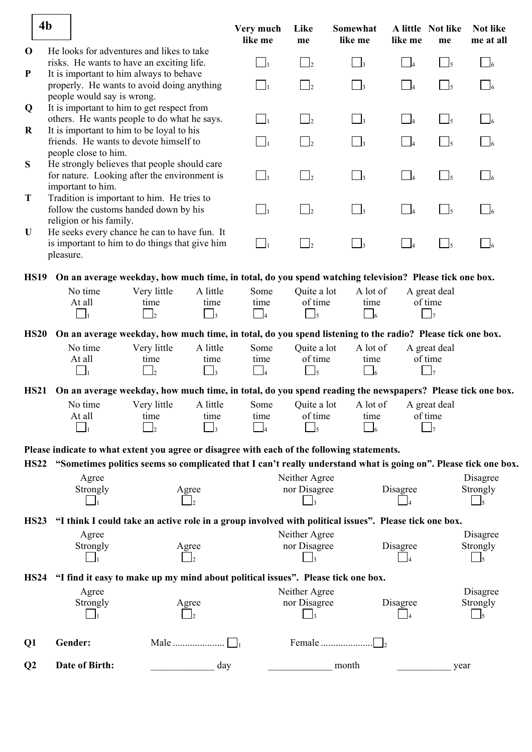|                | 4 <sub>b</sub>                                                  |                               |                                                                                                                 |                                         | Very much<br>like me                     | Like<br>me                                     | Somewhat<br>like me          | like me                    | A little Not like<br>me                   | <b>Not like</b><br>me at all           |
|----------------|-----------------------------------------------------------------|-------------------------------|-----------------------------------------------------------------------------------------------------------------|-----------------------------------------|------------------------------------------|------------------------------------------------|------------------------------|----------------------------|-------------------------------------------|----------------------------------------|
| $\mathbf 0$    |                                                                 |                               | He looks for adventures and likes to take<br>risks. He wants to have an exciting life.                          |                                         | $\Box_1$                                 | $\Box$                                         | $\Box$ 3                     | $\Box$                     | $\Box_5$                                  | $\Box_6$                               |
| ${\bf P}$      |                                                                 | people would say is wrong.    | It is important to him always to behave<br>properly. He wants to avoid doing anything                           |                                         | $\Box_1$                                 | $\Box_2$                                       | $\Box$ 3                     | $\overline{\phantom{0}}$ 4 | $\Box_5$                                  | $\Box_6$                               |
| Q              |                                                                 |                               | It is important to him to get respect from<br>others. He wants people to do what he says.                       |                                         | $\Box_1$                                 | $\Box_2$                                       | $\Box$ 3                     | $\Box_4$                   | $\Box_5$                                  | $\Box_6$                               |
| $\bf R$        |                                                                 |                               | It is important to him to be loyal to his<br>friends. He wants to devote himself to                             |                                         | $\Box_1$                                 | $\vert$ $\vert_2$                              | $\overline{\phantom{a}}$     | $\overline{\phantom{a}}$ 4 | $\Box$ <sub>5</sub>                       | $\Box$                                 |
| S              |                                                                 | people close to him.          | He strongly believes that people should care<br>for nature. Looking after the environment is                    |                                         | $\Box_1$                                 | $\Box_2$                                       | $\Box$ 3                     | $\overline{\phantom{0}}$ 4 | $\Box$ <sub>5</sub>                       | $\Box_6$                               |
| T              | important to him.<br>Tradition is important to him. He tries to |                               |                                                                                                                 |                                         |                                          |                                                |                              |                            |                                           |                                        |
| U              |                                                                 | religion or his family.       | follow the customs handed down by his<br>He seeks every chance he can to have fun. It                           |                                         | $\Box_1$                                 | $\Box$                                         | $\Box$ 3                     | $\Box_4$                   | $\Box$ <sub>5</sub>                       | $\Box_6$                               |
|                | pleasure.                                                       |                               | is important to him to do things that give him                                                                  |                                         | $\Box_1$                                 | $\Box$                                         | $\Box$ 3                     | $\Box_4$                   | $\Box$ <sub>5</sub>                       | $\overline{\phantom{a}}$ $\phantom{a}$ |
| <b>HS19</b>    |                                                                 |                               | On an average weekday, how much time, in total, do you spend watching television? Please tick one box.          |                                         |                                          |                                                |                              |                            |                                           |                                        |
|                |                                                                 | No time<br>At all<br>$\Box_1$ | Very little<br>time<br>$\mathbf{I}_2$                                                                           | A little<br>time<br>$\Box_3$            | Some<br>time<br>$\Box$                   | Quite a lot<br>of time<br>$\Box$ <sub>5</sub>  | A lot of<br>time<br>$\Box_6$ |                            | A great deal<br>of time<br>$\mathsf{J}_7$ |                                        |
| <b>HS20</b>    |                                                                 |                               | On an average weekday, how much time, in total, do you spend listening to the radio? Please tick one box.       |                                         |                                          |                                                |                              |                            |                                           |                                        |
|                |                                                                 | No time<br>At all<br>$\perp$  | Very little<br>time<br>$\vert$ <sub>2</sub>                                                                     | A little<br>time<br>$\Box$ <sub>3</sub> | Some<br>time<br>$\Box_4$                 | Quite a lot<br>of time<br>$\Box$ <sub>5</sub>  | A lot of<br>time<br>$\Box_6$ |                            | A great deal<br>of time<br>$\vert$ 7      |                                        |
| <b>HS21</b>    |                                                                 |                               | On an average weekday, how much time, in total, do you spend reading the newspapers? Please tick one box.       |                                         |                                          |                                                |                              |                            |                                           |                                        |
|                |                                                                 | No time<br>At all             | Very little<br>time<br>$\perp$                                                                                  | A little<br>time                        | Some<br>time<br>$\overline{\phantom{0}}$ | Quite a lot<br>of time<br>$\Box$ 5             | A lot of<br>time<br>$\Box$ 6 |                            | A great deal<br>of time<br>$\Box$ 7       |                                        |
|                |                                                                 |                               | Please indicate to what extent you agree or disagree with each of the following statements.                     |                                         |                                          |                                                |                              |                            |                                           |                                        |
| <b>HS22</b>    |                                                                 |                               | "Sometimes politics seems so complicated that I can't really understand what is going on". Please tick one box. |                                         |                                          |                                                |                              |                            |                                           |                                        |
|                |                                                                 | Agree<br>Strongly             |                                                                                                                 | Agree                                   |                                          | Neither Agree<br>nor Disagree<br>$\vert \vert$ |                              | Disagree                   |                                           | Disagree<br>Strongly                   |
| <b>HS23</b>    |                                                                 |                               | "I think I could take an active role in a group involved with political issues". Please tick one box.           |                                         |                                          |                                                |                              |                            |                                           |                                        |
|                |                                                                 | Agree<br>Strongly             |                                                                                                                 | Agree                                   |                                          | Neither Agree<br>nor Disagree                  |                              | Disagree                   |                                           | Disagree<br>Strongly                   |
|                |                                                                 |                               |                                                                                                                 |                                         |                                          | $\overline{\phantom{a}}$                       |                              |                            |                                           | l5                                     |
| <b>HS24</b>    |                                                                 | Agree                         | "I find it easy to make up my mind about political issues". Please tick one box.                                |                                         |                                          | Neither Agree                                  |                              |                            |                                           | Disagree                               |
|                |                                                                 | Strongly                      |                                                                                                                 | Agree                                   |                                          | nor Disagree<br>$\overline{\phantom{a}}$       |                              | Disagree                   |                                           | Strongly<br>$\Box$ 5                   |
| Q1             |                                                                 | Gender:                       | Male                                                                                                            |                                         |                                          |                                                | Female                       |                            |                                           |                                        |
| Q <sub>2</sub> |                                                                 | Date of Birth:                |                                                                                                                 | day                                     |                                          |                                                | month                        |                            | year                                      |                                        |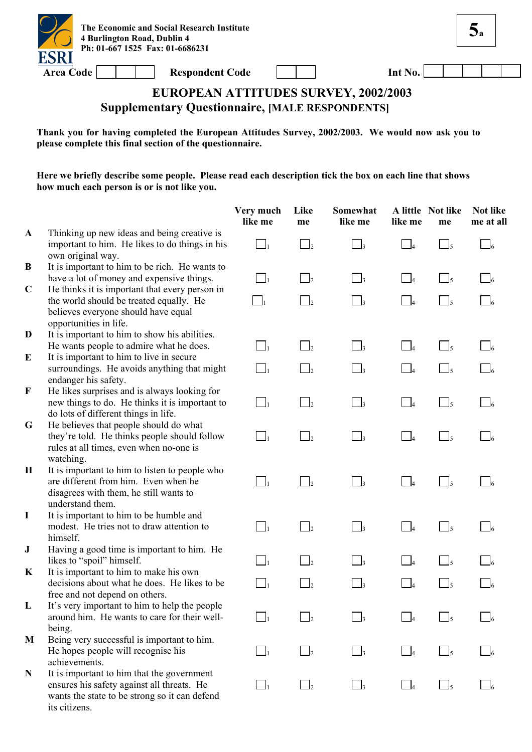

**5a**

# **EUROPEAN ATTITUDES SURVEY, 2002/2003 Supplementary Questionnaire, [MALE RESPONDENTS]**

**Thank you for having completed the European Attitudes Survey, 2002/2003. We would now ask you to please complete this final section of the questionnaire.** 

|              |                                                                                                                                                            | Very much<br>like me | Like<br>me           | Somewhat<br>like me        | like me                    | A little Not like<br>me | Not like<br>me at all |
|--------------|------------------------------------------------------------------------------------------------------------------------------------------------------------|----------------------|----------------------|----------------------------|----------------------------|-------------------------|-----------------------|
| $\mathbf{A}$ | Thinking up new ideas and being creative is<br>important to him. He likes to do things in his<br>own original way.                                         | $\Box_1$             | $\Box$               | $\Box$ 3                   | $\overline{\phantom{0}}$ 4 | $\Box$ <sub>5</sub>     | $\Box$ 6              |
| B            | It is important to him to be rich. He wants to<br>have a lot of money and expensive things.                                                                | $\Box_1$             | $\vert$ $\vert_2$    | $\Box$                     | $\overline{\phantom{a}}$ 4 | $\lfloor \rfloor_5$     |                       |
| $\mathbf C$  | He thinks it is important that every person in<br>the world should be treated equally. He<br>believes everyone should have equal<br>opportunities in life. | $\Box_1$             | $\mathbf{I}_2$       | $\Box$                     | $\overline{\phantom{0}}$ 4 | $\Box$ 5                |                       |
| D            | It is important to him to show his abilities.<br>He wants people to admire what he does.                                                                   | $\Box_{\mathrm{f}}$  | $\Box$ <sub>2</sub>  | $\overline{\phantom{a}}$   | $\overline{\phantom{0}}$ 4 | $\Box$ <sub>5</sub>     |                       |
| E            | It is important to him to live in secure<br>surroundings. He avoids anything that might<br>endanger his safety.                                            | $\Box_1$             | $\vert$ <sub>2</sub> | $\vert$ <sub>3</sub>       | $\overline{\phantom{0}}$ 4 | $\Box$ <sub>5</sub>     |                       |
| F            | He likes surprises and is always looking for<br>new things to do. He thinks it is important to<br>do lots of different things in life.                     | $\Box_1$             | $\vert$ <sub>2</sub> | $\overline{\phantom{a}}$ 3 | $\overline{\phantom{0}}$ 4 | $\Box$ <sub>5</sub>     | $\frac{1}{6}$         |
| G            | He believes that people should do what<br>they're told. He thinks people should follow<br>rules at all times, even when no-one is<br>watching.             | $\Box_1$             | $\Box_2$             | $\overline{\phantom{a}}$ 3 | $\overline{\phantom{0}}$   | $\Box$ <sub>5</sub>     | $\Box$ 6              |
| $\mathbf H$  | It is important to him to listen to people who<br>are different from him. Even when he<br>disagrees with them, he still wants to<br>understand them.       | $\Box_1$             | $\mathbf{I}_2$       | $\vert$ <sub>3</sub>       | $-4$                       | $\frac{1}{5}$           |                       |
| $\bf{I}$     | It is important to him to be humble and<br>modest. He tries not to draw attention to<br>himself.                                                           | $\Box$               | $\mathbf{I}_2$       | $\overline{\phantom{a}}$   | $\Box_4$                   | $\Box$ <sub>5</sub>     |                       |
| ${\bf J}$    | Having a good time is important to him. He<br>likes to "spoil" himself.                                                                                    | $\mathbf{I}_1$       | $\mathbf{I}_2$       | $\Box$ 3                   | $\overline{\phantom{0}}$ 4 | $\Box$ <sub>5</sub>     |                       |
| K            | It is important to him to make his own<br>decisions about what he does. He likes to be<br>free and not depend on others.                                   | $\Box_1$             | $\vert$              | $\vert$ 3                  | $\overline{4}$             | $\frac{1}{5}$           |                       |
| L            | It's very important to him to help the people<br>around him. He wants to care for their well-<br>being.                                                    |                      |                      |                            |                            |                         |                       |
| M            | Being very successful is important to him.<br>He hopes people will recognise his<br>achievements.                                                          | $\mathbf{I}_1$       | $\vert$              | $\overline{\phantom{a}}$ 3 | $\overline{\phantom{0}}$ 4 | $\frac{1}{5}$           |                       |
| N            | It is important to him that the government<br>ensures his safety against all threats. He<br>wants the state to be strong so it can defend<br>its citizens. | $\Box$               | $\mathsf{L}$         | $\vert$ 3                  | $\Box$ 4                   | $\Box$ 5                |                       |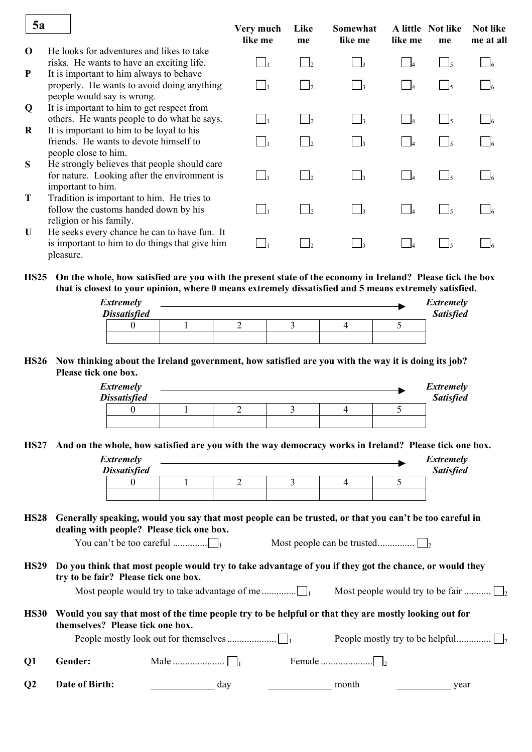| 5a           |                                                                                                                     | Very much<br>like me | Like<br>me        | Somewhat<br>like me | like me | A little Not like<br>me | <b>Not like</b><br>me at all |
|--------------|---------------------------------------------------------------------------------------------------------------------|----------------------|-------------------|---------------------|---------|-------------------------|------------------------------|
| $\Omega$     | He looks for adventures and likes to take<br>risks. He wants to have an exciting life.                              |                      | $\mathsf{I}_{2}$  | $\Box$ 3            |         |                         |                              |
| P            | It is important to him always to behave<br>properly. He wants to avoid doing anything<br>people would say is wrong. |                      |                   | $\vert$ $\vert$ 3   |         |                         |                              |
| Q            | It is important to him to get respect from<br>others. He wants people to do what he says.                           |                      | $\vert$ $\vert_2$ | $\Box$ 3            |         |                         |                              |
| R            | It is important to him to be loyal to his<br>friends. He wants to devote himself to<br>people close to him.         |                      |                   | $\vert$ $\vert$ 3   |         |                         |                              |
| S            | He strongly believes that people should care<br>for nature. Looking after the environment is<br>important to him.   |                      |                   | $\vert$ $\vert$ 3   |         |                         |                              |
| Т            | Tradition is important to him. He tries to<br>follow the customs handed down by his<br>religion or his family.      |                      |                   | $\vert$ $\vert$ 3   |         |                         |                              |
| $\mathbf{U}$ | He seeks every chance he can to have fun. It<br>is important to him to do things that give him<br>pleasure.         |                      | $\mathsf{L}$      | $\vert$ $\vert$ 3   |         |                         |                              |
|              |                                                                                                                     |                      |                   |                     |         |                         |                              |

**HS25 On the whole, how satisfied are you with the present state of the economy in Ireland? Please tick the box that is closest to your opinion, where 0 means extremely dissatisfied and 5 means extremely satisfied.** 

| <b>Extremely</b>    |  |  | Extremely        |
|---------------------|--|--|------------------|
| <b>Dissatisfied</b> |  |  | <b>Satisfied</b> |
|                     |  |  |                  |
|                     |  |  |                  |

#### **HS26 Now thinking about the Ireland government, how satisfied are you with the way it is doing its job? Please tick one box.**

| <b>Extremely</b><br><b>Dissatisfied</b> |  |  | <b>Extremely</b><br><b>Satisfied</b> |
|-----------------------------------------|--|--|--------------------------------------|
|                                         |  |  |                                      |
|                                         |  |  |                                      |

**HS27 And on the whole, how satisfied are you with the way democracy works in Ireland? Please tick one box.** 

| Extremely<br><b>Dissatisfied</b> |  |  | <i>Extremely</i><br><b>Satisfied</b> |
|----------------------------------|--|--|--------------------------------------|
|                                  |  |  |                                      |
|                                  |  |  |                                      |

#### **HS28 Generally speaking, would you say that most people can be trusted, or that you can't be too careful in dealing with people? Please tick one box.**

You can't be too careful .............. 1 Most people can be trusted............... <sup>2</sup>

**HS29 Do you think that most people would try to take advantage of you if they got the chance, or would they try to be fair? Please tick one box.** 

| HS30 Would you say that most of the time people try to be helpful or that they are mostly looking out for<br>themselves? Please tick one box. |  |
|-----------------------------------------------------------------------------------------------------------------------------------------------|--|

|           | uichiscres. Thase uch one boa. |     |  |       |      |  |
|-----------|--------------------------------|-----|--|-------|------|--|
|           |                                |     |  |       |      |  |
| <b>O1</b> | Gender:                        |     |  |       |      |  |
| <b>O2</b> | Date of Birth:                 | day |  | month | vear |  |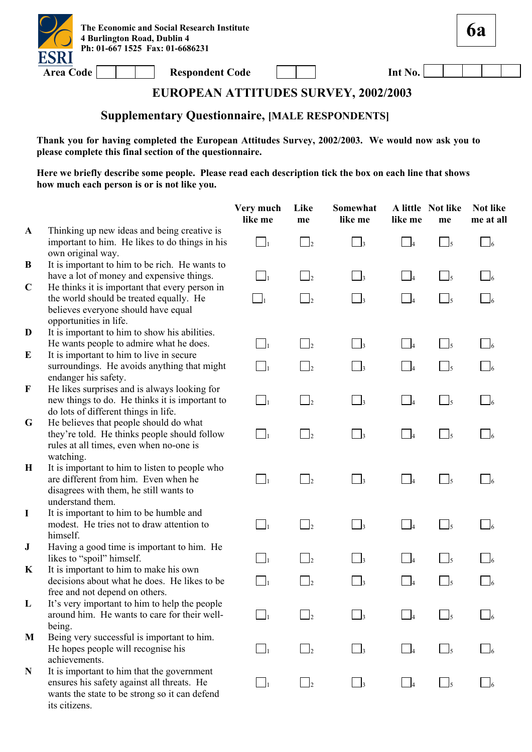

**6a**

### **EUROPEAN ATTITUDES SURVEY, 2002/2003**

# **Supplementary Questionnaire, [MALE RESPONDENTS]**

**Thank you for having completed the European Attitudes Survey, 2002/2003. We would now ask you to please complete this final section of the questionnaire.** 

|              |                                                                                                                                                            | Very much<br>like me | Like<br>me           | Somewhat<br>like me        | like me                    | A little Not like<br>me                           | Not like<br>me at all |
|--------------|------------------------------------------------------------------------------------------------------------------------------------------------------------|----------------------|----------------------|----------------------------|----------------------------|---------------------------------------------------|-----------------------|
| $\mathbf{A}$ | Thinking up new ideas and being creative is<br>important to him. He likes to do things in his<br>own original way.                                         | $\Box_1$             | $\bigcup_{2}$        | $\overline{\phantom{a}}$ 3 | $\Box$ 4                   | $\frac{1}{5}$                                     | $\Box$                |
| B            | It is important to him to be rich. He wants to<br>have a lot of money and expensive things.                                                                | $\Box_1$             | $\vert$ <sub>2</sub> | $\vert$ <sub>3</sub>       | $\Box$ 4                   | $\Box_5$                                          |                       |
| $\mathbf C$  | He thinks it is important that every person in<br>the world should be treated equally. He<br>believes everyone should have equal<br>opportunities in life. | $\Box_1$             | $\mathbb{I}_2$       | $\Box$ 3                   | $\Box$                     | $\bigcup_{5}$                                     |                       |
| D<br>E       | It is important to him to show his abilities.<br>He wants people to admire what he does.<br>It is important to him to live in secure                       | $\Box$               | $\Box_2$             | $\Box_3$                   | $\Box_4$                   | $\Box$ <sub>5</sub>                               |                       |
|              | surroundings. He avoids anything that might<br>endanger his safety.                                                                                        | $\Box_1$             | $\vert$ <sub>2</sub> | $\Box_3$                   | $\Box$                     | $\Box$ <sub>5</sub>                               |                       |
| $\mathbf F$  | He likes surprises and is always looking for<br>new things to do. He thinks it is important to<br>do lots of different things in life.                     | $\Box_1$             | $\Box_2$             | $\Box_3$                   | $\Box$ 4                   | $\overline{\phantom{a}}$ $\overline{\phantom{a}}$ | $\Box$ 6              |
| G            | He believes that people should do what<br>they're told. He thinks people should follow<br>rules at all times, even when no-one is<br>watching.             | $\Box_1$             | $\mathbf{I}_2$       | $\overline{\phantom{a}}$ 3 | $\Box_4$                   | $\Box$ <sub>5</sub>                               | $\Box$ 6              |
| $\mathbf H$  | It is important to him to listen to people who<br>are different from him. Even when he<br>disagrees with them, he still wants to<br>understand them.       | $\Box$               | $\mathbf{I}_2$       | $\Box$                     | $\Box$                     | $\frac{1}{5}$                                     | $\overline{6}$        |
| $\bf{I}$     | It is important to him to be humble and<br>modest. He tries not to draw attention to<br>himself.                                                           | $\Box_1$             | $\mathbf{I}_2$       | $\Box$ 3                   | $\overline{\phantom{0}}$ 4 | $\Box$ <sub>5</sub>                               | $\Box$ 6              |
| ${\bf J}$    | Having a good time is important to him. He<br>likes to "spoil" himself.                                                                                    | $\mathbf{I}_1$       | $\vert$ <sub>2</sub> | $\overline{\phantom{a}}$   | $\Box$                     | $\bigcup_{5}$                                     |                       |
| K            | It is important to him to make his own<br>decisions about what he does. He likes to be<br>free and not depend on others.                                   | $\Box_1$             | $\mathsf{I}_2$       | $\mathbf{I}_3$             | $\Box$ 4                   |                                                   |                       |
| L            | It's very important to him to help the people<br>around him. He wants to care for their well-<br>being.                                                    |                      |                      |                            |                            |                                                   |                       |
| M            | Being very successful is important to him.<br>He hopes people will recognise his<br>achievements.                                                          | $\mathcal{L}_{1}$    | b                    | $\vert$ 3                  | $\Box$ 4                   | 15                                                |                       |
| N            | It is important to him that the government<br>ensures his safety against all threats. He<br>wants the state to be strong so it can defend<br>its citizens. | $\Box_1$             | $\vert$ <sub>2</sub> | $\Box$ 3                   | $\overline{\phantom{a}}$ 4 | $\Box$ <sub>5</sub>                               |                       |